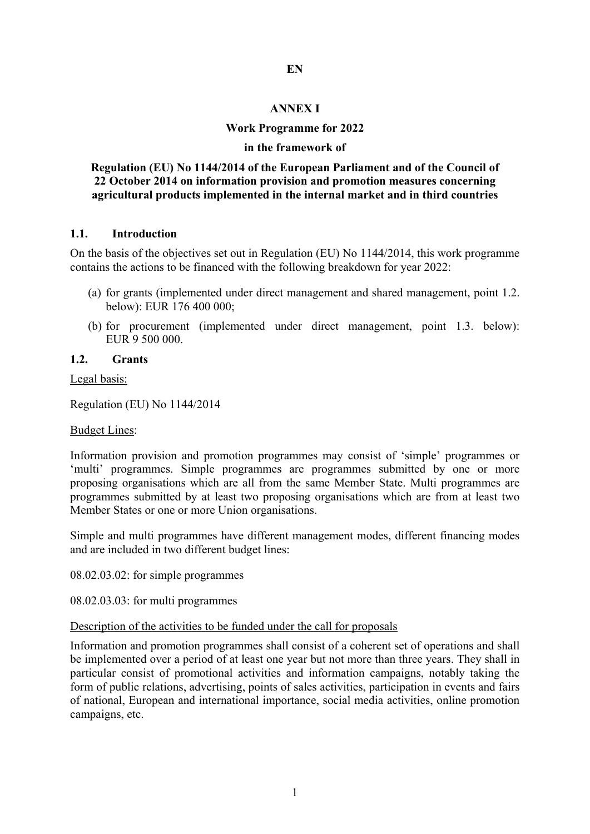#### **EN**

#### **ANNEX I**

#### **Work Programme for 2022**

#### **in the framework of**

#### **Regulation (EU) No 1144/2014 of the European Parliament and of the Council of 22 October 2014 on information provision and promotion measures concerning agricultural products implemented in the internal market and in third countries**

#### **1.1. Introduction**

On the basis of the objectives set out in Regulation (EU) No 1144/2014, this work programme contains the actions to be financed with the following breakdown for year 2022:

- (a) for grants (implemented under direct management and shared management, point 1.2. below): EUR 176 400 000;
- (b) for procurement (implemented under direct management, point 1.3. below): EUR 9 500 000.

#### **1.2. Grants**

Legal basis:

Regulation (EU) No 1144/2014

#### Budget Lines:

Information provision and promotion programmes may consist of 'simple' programmes or 'multi' programmes. Simple programmes are programmes submitted by one or more proposing organisations which are all from the same Member State. Multi programmes are programmes submitted by at least two proposing organisations which are from at least two Member States or one or more Union organisations.

Simple and multi programmes have different management modes, different financing modes and are included in two different budget lines:

08.02.03.02: for simple programmes

08.02.03.03: for multi programmes

#### Description of the activities to be funded under the call for proposals

Information and promotion programmes shall consist of a coherent set of operations and shall be implemented over a period of at least one year but not more than three years. They shall in particular consist of promotional activities and information campaigns, notably taking the form of public relations, advertising, points of sales activities, participation in events and fairs of national, European and international importance, social media activities, online promotion campaigns, etc.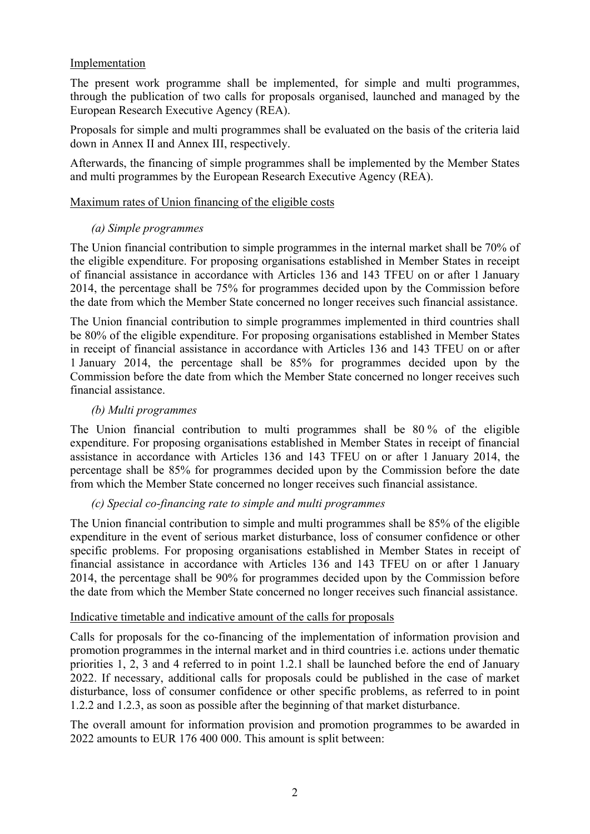# Implementation

The present work programme shall be implemented, for simple and multi programmes, through the publication of two calls for proposals organised, launched and managed by the European Research Executive Agency (REA).

Proposals for simple and multi programmes shall be evaluated on the basis of the criteria laid down in Annex II and Annex III, respectively.

Afterwards, the financing of simple programmes shall be implemented by the Member States and multi programmes by the European Research Executive Agency (REA).

## Maximum rates of Union financing of the eligible costs

## *(a) Simple programmes*

The Union financial contribution to simple programmes in the internal market shall be 70% of the eligible expenditure. For proposing organisations established in Member States in receipt of financial assistance in accordance with Articles 136 and 143 TFEU on or after 1 January 2014, the percentage shall be 75% for programmes decided upon by the Commission before the date from which the Member State concerned no longer receives such financial assistance.

The Union financial contribution to simple programmes implemented in third countries shall be 80% of the eligible expenditure. For proposing organisations established in Member States in receipt of financial assistance in accordance with Articles 136 and 143 TFEU on or after 1 January 2014, the percentage shall be 85% for programmes decided upon by the Commission before the date from which the Member State concerned no longer receives such financial assistance.

## *(b) Multi programmes*

The Union financial contribution to multi programmes shall be 80 % of the eligible expenditure. For proposing organisations established in Member States in receipt of financial assistance in accordance with Articles 136 and 143 TFEU on or after 1 January 2014, the percentage shall be 85% for programmes decided upon by the Commission before the date from which the Member State concerned no longer receives such financial assistance.

#### *(c) Special co-financing rate to simple and multi programmes*

The Union financial contribution to simple and multi programmes shall be 85% of the eligible expenditure in the event of serious market disturbance, loss of consumer confidence or other specific problems. For proposing organisations established in Member States in receipt of financial assistance in accordance with Articles 136 and 143 TFEU on or after 1 January 2014, the percentage shall be 90% for programmes decided upon by the Commission before the date from which the Member State concerned no longer receives such financial assistance.

#### Indicative timetable and indicative amount of the calls for proposals

Calls for proposals for the co-financing of the implementation of information provision and promotion programmes in the internal market and in third countries i.e. actions under thematic priorities 1, 2, 3 and 4 referred to in point 1.2.1 shall be launched before the end of January 2022. If necessary, additional calls for proposals could be published in the case of market disturbance, loss of consumer confidence or other specific problems, as referred to in point 1.2.2 and 1.2.3, as soon as possible after the beginning of that market disturbance.

The overall amount for information provision and promotion programmes to be awarded in 2022 amounts to EUR 176 400 000. This amount is split between: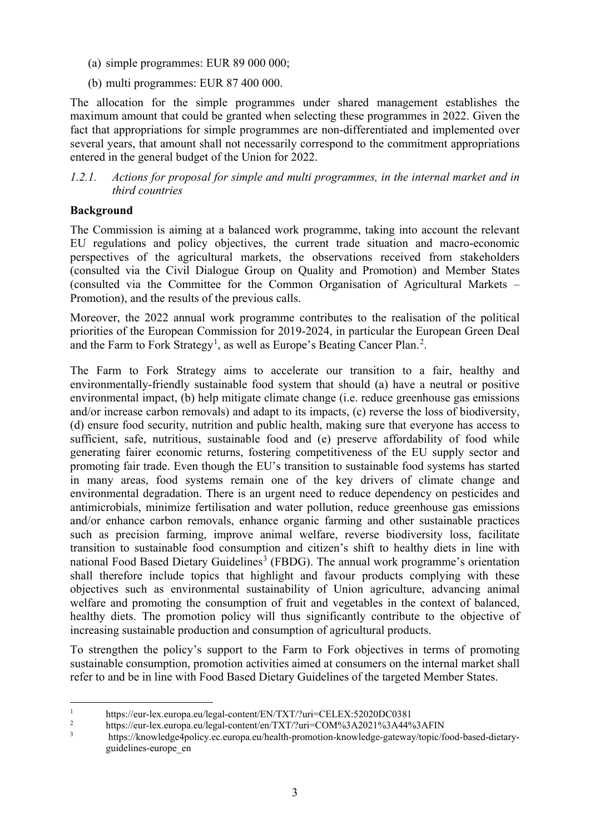- (a) simple programmes: EUR 89 000 000;
- (b) multi programmes: EUR 87 400 000.

The allocation for the simple programmes under shared management establishes the maximum amount that could be granted when selecting these programmes in 2022. Given the fact that appropriations for simple programmes are non-differentiated and implemented over several years, that amount shall not necessarily correspond to the commitment appropriations entered in the general budget of the Union for 2022.

*1.2.1. Actions for proposal for simple and multi programmes, in the internal market and in third countries*

# **Background**

The Commission is aiming at a balanced work programme, taking into account the relevant EU regulations and policy objectives, the current trade situation and macro-economic perspectives of the agricultural markets, the observations received from stakeholders (consulted via the Civil Dialogue Group on Quality and Promotion) and Member States (consulted via the Committee for the Common Organisation of Agricultural Markets – Promotion), and the results of the previous calls.

Moreover, the 2022 annual work programme contributes to the realisation of the political priorities of the European Commission for 2019-2024, in particular the European Green Deal and the Farm to Fork Strategy<sup>[1](#page-2-0)</sup>, as well as Europe's Beating Cancer Plan.<sup>[2](#page-2-1)</sup>.

The Farm to Fork Strategy aims to accelerate our transition to a fair, healthy and environmentally-friendly sustainable food system that should (a) have a neutral or positive environmental impact, (b) help mitigate climate change (i.e. reduce greenhouse gas emissions and/or increase carbon removals) and adapt to its impacts, (c) reverse the loss of biodiversity, (d) ensure food security, nutrition and public health, making sure that everyone has access to sufficient, safe, nutritious, sustainable food and (e) preserve affordability of food while generating fairer economic returns, fostering competitiveness of the EU supply sector and promoting fair trade. Even though the EU's transition to sustainable food systems has started in many areas, food systems remain one of the key drivers of climate change and environmental degradation. There is an urgent need to reduce dependency on pesticides and antimicrobials, minimize fertilisation and water pollution, reduce greenhouse gas emissions and/or enhance carbon removals, enhance organic farming and other sustainable practices such as precision farming, improve animal welfare, reverse biodiversity loss, facilitate transition to sustainable food consumption and citizen's shift to healthy diets in line with national Food Based Dietary Guidelines<sup>[3](#page-2-2)</sup> (FBDG). The annual work programme's orientation shall therefore include topics that highlight and favour products complying with these objectives such as environmental sustainability of Union agriculture, advancing animal welfare and promoting the consumption of fruit and vegetables in the context of balanced, healthy diets. The promotion policy will thus significantly contribute to the objective of increasing sustainable production and consumption of agricultural products.

To strengthen the policy's support to the Farm to Fork objectives in terms of promoting sustainable consumption, promotion activities aimed at consumers on the internal market shall refer to and be in line with Food Based Dietary Guidelines of the targeted Member States.

<span id="page-2-0"></span><sup>&</sup>lt;sup>1</sup> https://eur-lex.europa.eu/legal-content/EN/TXT/?uri=CELEX:52020DC0381<br><sup>2</sup> https://gur.ley.europe.eu/legal.eoptent/on/TXT/?uri=COM%2A2021%2A44%

<span id="page-2-1"></span><sup>&</sup>lt;sup>2</sup> https://eur-lex.europa.eu/legal-content/en/TXT/?uri=COM%3A2021%3A44%3AFIN

<span id="page-2-2"></span><sup>3</sup> https://knowledge4policy.ec.europa.eu/health-promotion-knowledge-gateway/topic/food-based-dietaryguidelines-europe\_en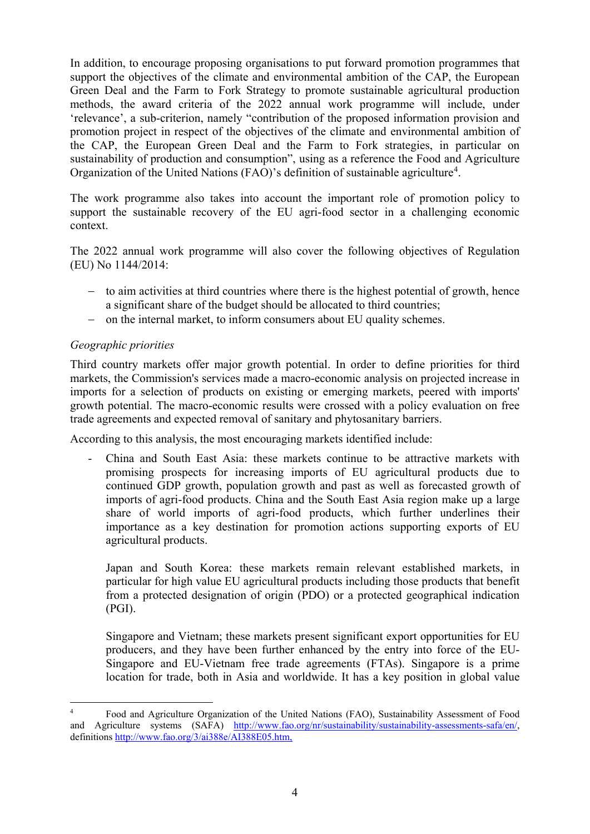In addition, to encourage proposing organisations to put forward promotion programmes that support the objectives of the climate and environmental ambition of the CAP, the European Green Deal and the Farm to Fork Strategy to promote sustainable agricultural production methods, the award criteria of the 2022 annual work programme will include, under 'relevance', a sub-criterion, namely "contribution of the proposed information provision and promotion project in respect of the objectives of the climate and environmental ambition of the CAP, the European Green Deal and the Farm to Fork strategies, in particular on sustainability of production and consumption", using as a reference the Food and Agriculture Organization of the United Nations (FAO)'s definition of sustainable agriculture<sup>[4](#page-3-0)</sup>.

The work programme also takes into account the important role of promotion policy to support the sustainable recovery of the EU agri-food sector in a challenging economic context.

The 2022 annual work programme will also cover the following objectives of Regulation (EU) No 1144/2014:

- − to aim activities at third countries where there is the highest potential of growth, hence a significant share of the budget should be allocated to third countries;
- − on the internal market, to inform consumers about EU quality schemes.

# *Geographic priorities*

Third country markets offer major growth potential. In order to define priorities for third markets, the Commission's services made a macro-economic analysis on projected increase in imports for a selection of products on existing or emerging markets, peered with imports' growth potential. The macro-economic results were crossed with a policy evaluation on free trade agreements and expected removal of sanitary and phytosanitary barriers.

According to this analysis, the most encouraging markets identified include:

- China and South East Asia: these markets continue to be attractive markets with promising prospects for increasing imports of EU agricultural products due to continued GDP growth, population growth and past as well as forecasted growth of imports of agri-food products. China and the South East Asia region make up a large share of world imports of agri-food products, which further underlines their importance as a key destination for promotion actions supporting exports of EU agricultural products.

Japan and South Korea: these markets remain relevant established markets, in particular for high value EU agricultural products including those products that benefit from a protected designation of origin (PDO) or a protected geographical indication (PGI).

Singapore and Vietnam; these markets present significant export opportunities for EU producers, and they have been further enhanced by the entry into force of the EU-Singapore and EU-Vietnam free trade agreements (FTAs). Singapore is a prime location for trade, both in Asia and worldwide. It has a key position in global value

<span id="page-3-0"></span> <sup>4</sup> Food and Agriculture Organization of the United Nations (FAO), Sustainability Assessment of Food and Agriculture systems (SAFA) [http://www.fao.org/nr/sustainability/sustainability-assessments-safa/en/,](http://www.fao.org/nr/sustainability/sustainability-assessments-safa/en/) definitions [http://www.fao.org/3/ai388e/AI388E05.htm,](http://www.fao.org/3/ai388e/AI388E05.htm)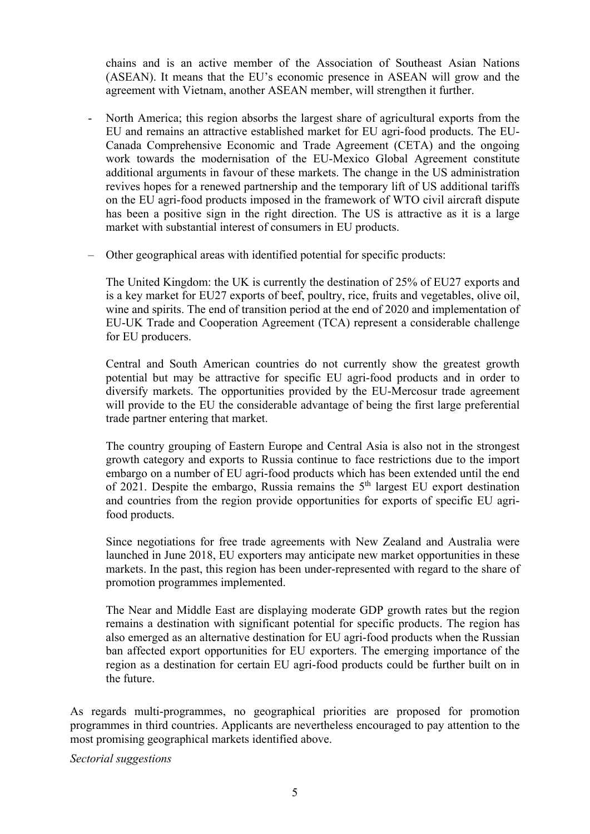chains and is an active member of the Association of Southeast Asian Nations (ASEAN). It means that the EU's economic presence in ASEAN will grow and the agreement with Vietnam, another ASEAN member, will strengthen it further.

- North America; this region absorbs the largest share of agricultural exports from the EU and remains an attractive established market for EU agri-food products. The EU-Canada Comprehensive Economic and Trade Agreement (CETA) and the ongoing work towards the modernisation of the EU-Mexico Global Agreement constitute additional arguments in favour of these markets. The change in the US administration revives hopes for a renewed partnership and the temporary lift of US additional tariffs on the EU agri-food products imposed in the framework of WTO civil aircraft dispute has been a positive sign in the right direction. The US is attractive as it is a large market with substantial interest of consumers in EU products.
- Other geographical areas with identified potential for specific products:

The United Kingdom: the UK is currently the destination of 25% of EU27 exports and is a key market for EU27 exports of beef, poultry, rice, fruits and vegetables, olive oil, wine and spirits. The end of transition period at the end of 2020 and implementation of EU-UK Trade and Cooperation Agreement (TCA) represent a considerable challenge for EU producers.

Central and South American countries do not currently show the greatest growth potential but may be attractive for specific EU agri-food products and in order to diversify markets. The opportunities provided by the EU-Mercosur trade agreement will provide to the EU the considerable advantage of being the first large preferential trade partner entering that market.

The country grouping of Eastern Europe and Central Asia is also not in the strongest growth category and exports to Russia continue to face restrictions due to the import embargo on a number of EU agri-food products which has been extended until the end of 2021. Despite the embargo, Russia remains the  $5<sup>th</sup>$  largest EU export destination and countries from the region provide opportunities for exports of specific EU agrifood products.

Since negotiations for free trade agreements with New Zealand and Australia were launched in June 2018, EU exporters may anticipate new market opportunities in these markets. In the past, this region has been under-represented with regard to the share of promotion programmes implemented.

The Near and Middle East are displaying moderate GDP growth rates but the region remains a destination with significant potential for specific products. The region has also emerged as an alternative destination for EU agri-food products when the Russian ban affected export opportunities for EU exporters. The emerging importance of the region as a destination for certain EU agri-food products could be further built on in the future.

As regards multi-programmes, no geographical priorities are proposed for promotion programmes in third countries. Applicants are nevertheless encouraged to pay attention to the most promising geographical markets identified above.

*Sectorial suggestions*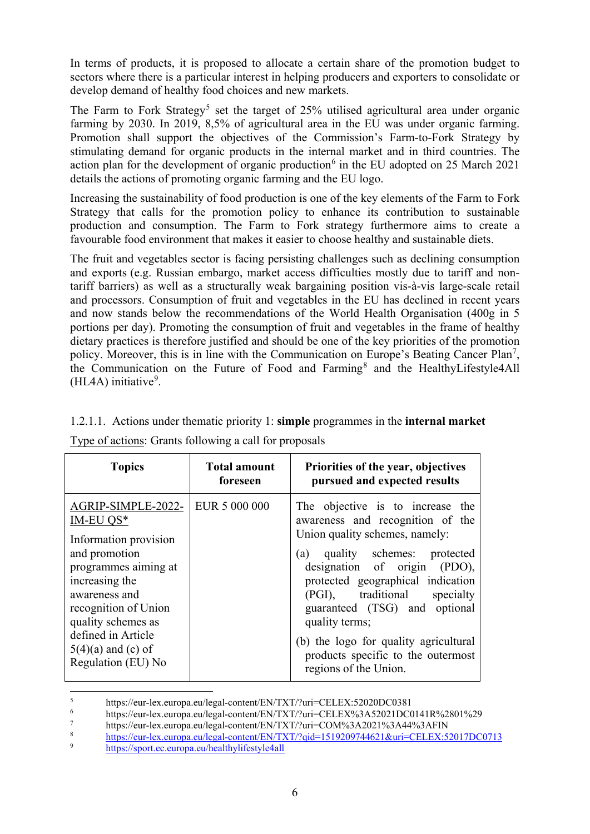In terms of products, it is proposed to allocate a certain share of the promotion budget to sectors where there is a particular interest in helping producers and exporters to consolidate or develop demand of healthy food choices and new markets.

The Farm to Fork Strategy<sup>[5](#page-5-0)</sup> set the target of  $25%$  utilised agricultural area under organic farming by 2030. In 2019, 8,5% of agricultural area in the EU was under organic farming. Promotion shall support the objectives of the Commission's Farm-to-Fork Strategy by stimulating demand for organic products in the internal market and in third countries. The action plan for the development of organic production<sup>[6](#page-5-1)</sup> in the EU adopted on 25 March 2021 details the actions of promoting organic farming and the EU logo.

Increasing the sustainability of food production is one of the key elements of the Farm to Fork Strategy that calls for the promotion policy to enhance its contribution to sustainable production and consumption. The Farm to Fork strategy furthermore aims to create a favourable food environment that makes it easier to choose healthy and sustainable diets.

The fruit and vegetables sector is facing persisting challenges such as declining consumption and exports (e.g. Russian embargo, market access difficulties mostly due to tariff and nontariff barriers) as well as a structurally weak bargaining position vis-à-vis large-scale retail and processors. Consumption of fruit and vegetables in the EU has declined in recent years and now stands below the recommendations of the World Health Organisation (400g in 5 portions per day). Promoting the consumption of fruit and vegetables in the frame of healthy dietary practices is therefore justified and should be one of the key priorities of the promotion policy. Moreover, this is in line with the Communication on Europe's Beating Cancer Plan<sup>[7](#page-5-2)</sup>, the Communication on the Future of Food and Farming<sup>[8](#page-5-3)</sup> and the HealthyLifestyle4All  $(HLAA)$  initiative<sup>[9](#page-5-4)</sup>.

| <b>Topics</b>                                                                                                                                                                                                                                                            | <b>Total amount</b><br>foreseen | Priorities of the year, objectives<br>pursued and expected results                                                                                                                                                                                                                                                                                                                                       |
|--------------------------------------------------------------------------------------------------------------------------------------------------------------------------------------------------------------------------------------------------------------------------|---------------------------------|----------------------------------------------------------------------------------------------------------------------------------------------------------------------------------------------------------------------------------------------------------------------------------------------------------------------------------------------------------------------------------------------------------|
| AGRIP-SIMPLE-2022-   EUR 5 000 000<br>IM-EU $QS*$<br>Information provision<br>and promotion<br>programmes aiming at<br>increasing the<br>awareness and<br>recognition of Union<br>quality schemes as<br>defined in Article<br>$5(4)(a)$ and (c) of<br>Regulation (EU) No |                                 | The objective is to increase the<br>awareness and recognition of the<br>Union quality schemes, namely:<br>(a) quality schemes: protected<br>designation of origin (PDO),<br>protected geographical indication<br>(PGI), traditional specialty<br>guaranteed (TSG) and optional<br>quality terms;<br>(b) the logo for quality agricultural<br>products specific to the outermost<br>regions of the Union. |

1.2.1.1. Actions under thematic priority 1: **simple** programmes in the **internal market**

|  |  |  |  |  | Type of actions: Grants following a call for proposals |  |
|--|--|--|--|--|--------------------------------------------------------|--|
|  |  |  |  |  |                                                        |  |

<span id="page-5-0"></span><sup>&</sup>lt;sup>5</sup><br>https://eur-lex.europa.eu/legal-content/EN/TXT/?uri=CELEX:52020DC0381<br>https://eur-lex.europa.eu/legal-content/EN/TXT/?uri=CELEY%42.4.52021DC0

<span id="page-5-1"></span><sup>&</sup>lt;sup>6</sup> https://eur-lex.europa.eu/legal-content/EN/TXT/?uri=CELEX%3A52021DC0141R%2801%29<br>https://eur-lex.europa.eu/legal-content/EN/TXT/?uri=COM%3A2021%3A44%3AEIN

<span id="page-5-2"></span><sup>&</sup>lt;sup>7</sup> https://eur-lex.europa.eu/legal-content/EN/TXT/?uri=COM%3A2021%3A44%3AFIN<br><sup>8</sup> https://eur.lex.europa.eu/legal.content/EN/TXT/2cid=1510200744621&uri=CELEX:5

<span id="page-5-3"></span> $\frac{8}{9}$  <https://eur-lex.europa.eu/legal-content/EN/TXT/?qid=1519209744621&uri=CELEX:52017DC0713>

<span id="page-5-4"></span><sup>9</sup> <https://sport.ec.europa.eu/healthylifestyle4all>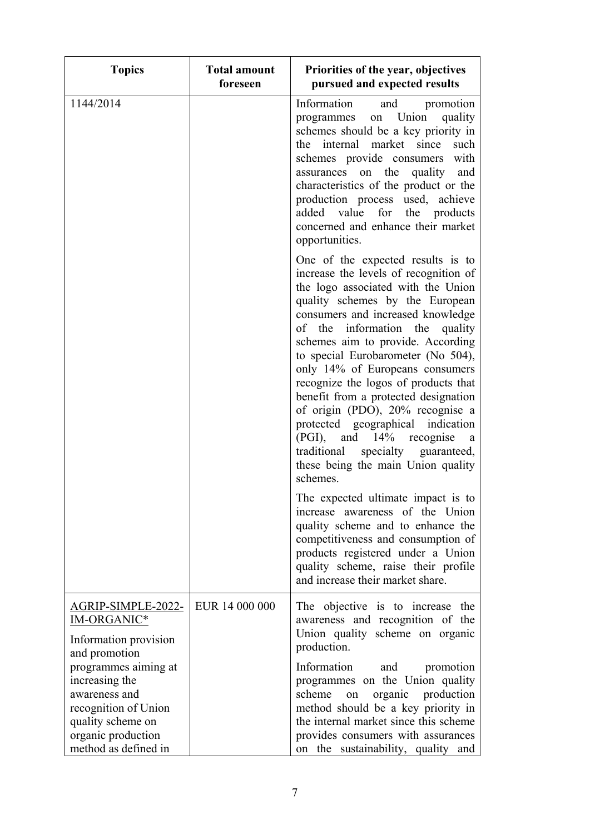| <b>Topics</b>                                                                                                                                      | <b>Total amount</b><br>foreseen | Priorities of the year, objectives<br>pursued and expected results                                                                                                                                                                                                                                                                                                                                                                                                                                                                                                                                                             |
|----------------------------------------------------------------------------------------------------------------------------------------------------|---------------------------------|--------------------------------------------------------------------------------------------------------------------------------------------------------------------------------------------------------------------------------------------------------------------------------------------------------------------------------------------------------------------------------------------------------------------------------------------------------------------------------------------------------------------------------------------------------------------------------------------------------------------------------|
| 1144/2014                                                                                                                                          |                                 | Information<br>and promotion<br>on Union<br>quality<br>programmes<br>schemes should be a key priority in<br>the internal market since<br>such<br>schemes provide consumers<br>with<br>assurances on the quality and<br>characteristics of the product or the<br>production process used, achieve<br>added value for the products<br>concerned and enhance their market<br>opportunities.                                                                                                                                                                                                                                       |
|                                                                                                                                                    |                                 | One of the expected results is to<br>increase the levels of recognition of<br>the logo associated with the Union<br>quality schemes by the European<br>consumers and increased knowledge<br>of the information the<br>quality<br>schemes aim to provide. According<br>to special Eurobarometer (No 504),<br>only 14% of Europeans consumers<br>recognize the logos of products that<br>benefit from a protected designation<br>of origin (PDO), 20% recognise a<br>protected geographical indication<br>(PGI), and 14% recognise<br>a a<br>traditional specialty guaranteed,<br>these being the main Union quality<br>schemes. |
|                                                                                                                                                    |                                 | The expected ultimate impact is to<br>increase awareness of the Union<br>quality scheme and to enhance the<br>competitiveness and consumption of<br>products registered under a Union<br>quality scheme, raise their profile<br>and increase their market share.                                                                                                                                                                                                                                                                                                                                                               |
| AGRIP-SIMPLE-2022-<br>IM-ORGANIC*<br>Information provision<br>and promotion                                                                        | EUR 14 000 000                  | The objective is to increase the<br>awareness and recognition of the<br>Union quality scheme on organic<br>production.                                                                                                                                                                                                                                                                                                                                                                                                                                                                                                         |
| programmes aiming at<br>increasing the<br>awareness and<br>recognition of Union<br>quality scheme on<br>organic production<br>method as defined in |                                 | Information<br>and<br>promotion<br>programmes on the Union quality<br>scheme<br>organic production<br>on<br>method should be a key priority in<br>the internal market since this scheme<br>provides consumers with assurances<br>on the sustainability, quality and                                                                                                                                                                                                                                                                                                                                                            |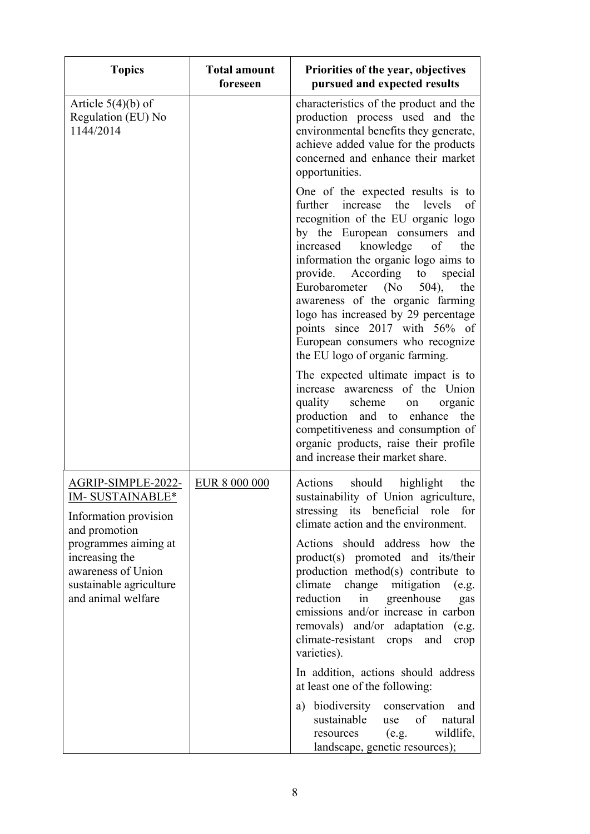| <b>Topics</b>                                                                                                                                                                                           | <b>Total amount</b><br>foreseen | Priorities of the year, objectives<br>pursued and expected results                                                                                                                                                                                                                                                                                                                                                                                                                                                                                                                                                                               |
|---------------------------------------------------------------------------------------------------------------------------------------------------------------------------------------------------------|---------------------------------|--------------------------------------------------------------------------------------------------------------------------------------------------------------------------------------------------------------------------------------------------------------------------------------------------------------------------------------------------------------------------------------------------------------------------------------------------------------------------------------------------------------------------------------------------------------------------------------------------------------------------------------------------|
| Article $5(4)(b)$ of<br>Regulation (EU) No<br>1144/2014                                                                                                                                                 |                                 | characteristics of the product and the<br>production process used and the<br>environmental benefits they generate,<br>achieve added value for the products<br>concerned and enhance their market<br>opportunities.                                                                                                                                                                                                                                                                                                                                                                                                                               |
|                                                                                                                                                                                                         |                                 | One of the expected results is to<br>further increase the<br>levels<br>of<br>recognition of the EU organic logo<br>by the European consumers<br>and<br>knowledge<br>the<br>increased<br>of<br>information the organic logo aims to<br>provide. According to special<br>Eurobarometer (No 504),<br>the<br>awareness of the organic farming<br>logo has increased by 29 percentage<br>points since 2017 with 56% of<br>European consumers who recognize<br>the EU logo of organic farming.                                                                                                                                                         |
|                                                                                                                                                                                                         |                                 | The expected ultimate impact is to<br>increase awareness of the Union<br>quality scheme<br>organic<br>on<br>production and to enhance the<br>competitiveness and consumption of<br>organic products, raise their profile<br>and increase their market share.                                                                                                                                                                                                                                                                                                                                                                                     |
| <u>AGRIP-SIMPLE-2022-</u><br>IM-SUSTAINABLE*<br>Information provision<br>and promotion<br>programmes aiming at<br>increasing the<br>awareness of Union<br>sustainable agriculture<br>and animal welfare | EUR 8 000 000                   | should highlight<br>Actions<br>the<br>sustainability of Union agriculture,<br>stressing its beneficial role for<br>climate action and the environment.<br>Actions should address how the<br>product(s) promoted and its/their<br>production method(s) contribute to<br>climate<br>change mitigation<br>(e.g.<br>reduction<br>in<br>greenhouse<br>gas<br>emissions and/or increase in carbon<br>removals) and/or adaptation<br>(e.g.<br>climate-resistant crops and<br>crop<br>varieties).<br>In addition, actions should address<br>at least one of the following:<br>a) biodiversity conservation<br>and<br>sustainable<br>of<br>use<br>natural |
|                                                                                                                                                                                                         |                                 | wildlife,<br>(e.g.<br>resources<br>landscape, genetic resources);                                                                                                                                                                                                                                                                                                                                                                                                                                                                                                                                                                                |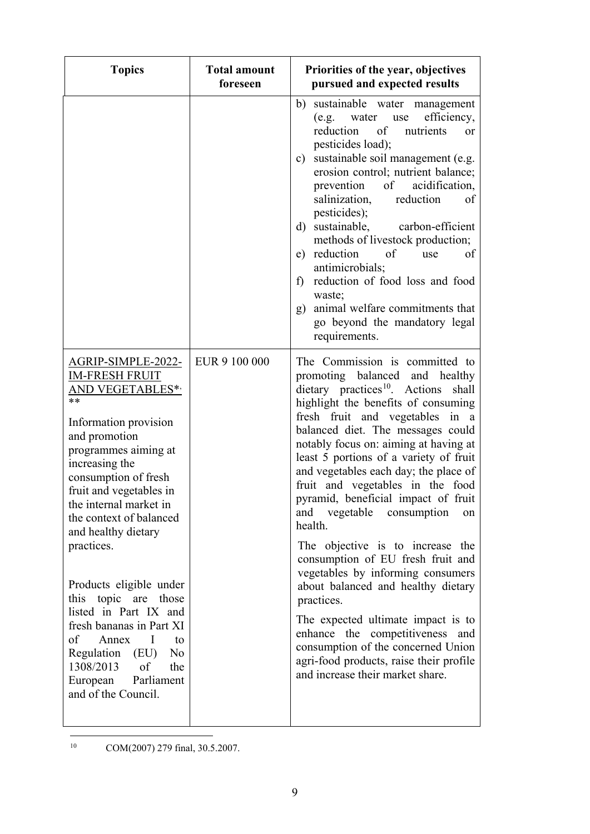| <b>Topics</b>                                                                                                                                                                                                                                                                                                                                                                                                                                                                                                                                    | <b>Total amount</b><br>foreseen | Priorities of the year, objectives<br>pursued and expected results                                                                                                                                                                                                                                                                                                                                                                                                                                                                                                                                                                                                                                                                                                                                                                                            |
|--------------------------------------------------------------------------------------------------------------------------------------------------------------------------------------------------------------------------------------------------------------------------------------------------------------------------------------------------------------------------------------------------------------------------------------------------------------------------------------------------------------------------------------------------|---------------------------------|---------------------------------------------------------------------------------------------------------------------------------------------------------------------------------------------------------------------------------------------------------------------------------------------------------------------------------------------------------------------------------------------------------------------------------------------------------------------------------------------------------------------------------------------------------------------------------------------------------------------------------------------------------------------------------------------------------------------------------------------------------------------------------------------------------------------------------------------------------------|
|                                                                                                                                                                                                                                                                                                                                                                                                                                                                                                                                                  |                                 | sustainable water management<br>b)<br>efficiency,<br>(e.g. water use<br>of<br>reduction<br>nutrients<br>or<br>pesticides load);<br>sustainable soil management (e.g.<br>$\mathbf{c})$<br>erosion control; nutrient balance;<br>of acidification,<br>prevention<br>salinization,<br>reduction<br>of<br>pesticides);<br>d) sustainable, carbon-efficient<br>methods of livestock production;<br>e) reduction<br>of<br>of<br>use<br>antimicrobials;<br>reduction of food loss and food<br>$f$ )<br>waste;<br>g) animal welfare commitments that<br>go beyond the mandatory legal<br>requirements.                                                                                                                                                                                                                                                                |
| AGRIP-SIMPLE-2022-<br><b>IM-FRESH FRUIT</b><br>AND VEGETABLES*,<br>**<br>Information provision<br>and promotion<br>programmes aiming at<br>increasing the<br>consumption of fresh<br>fruit and vegetables in<br>the internal market in<br>the context of balanced<br>and healthy dietary<br>practices.<br>Products eligible under<br>this topic are those<br>listed in Part IX and<br>fresh bananas in Part XI<br>of<br>Annex<br>$\mathbf I$<br>to<br>Regulation (EU) No<br>1308/2013<br>of<br>the<br>European Parliament<br>and of the Council. | EUR 9 100 000                   | The Commission is committed to<br>promoting balanced and healthy<br>dietary practices <sup>10</sup> . Actions<br>shall<br>highlight the benefits of consuming<br>fresh fruit and vegetables in a<br>balanced diet. The messages could<br>notably focus on: aiming at having at<br>least 5 portions of a variety of fruit<br>and vegetables each day; the place of<br>fruit and vegetables in the food<br>pyramid, beneficial impact of fruit<br>and vegetable<br>consumption<br>on<br>health.<br>The objective is to increase the<br>consumption of EU fresh fruit and<br>vegetables by informing consumers<br>about balanced and healthy dietary<br>practices.<br>The expected ultimate impact is to<br>enhance the competitiveness and<br>consumption of the concerned Union<br>agri-food products, raise their profile<br>and increase their market share. |

<span id="page-8-0"></span> <sup>10</sup> COM(2007) 279 final, 30.5.2007.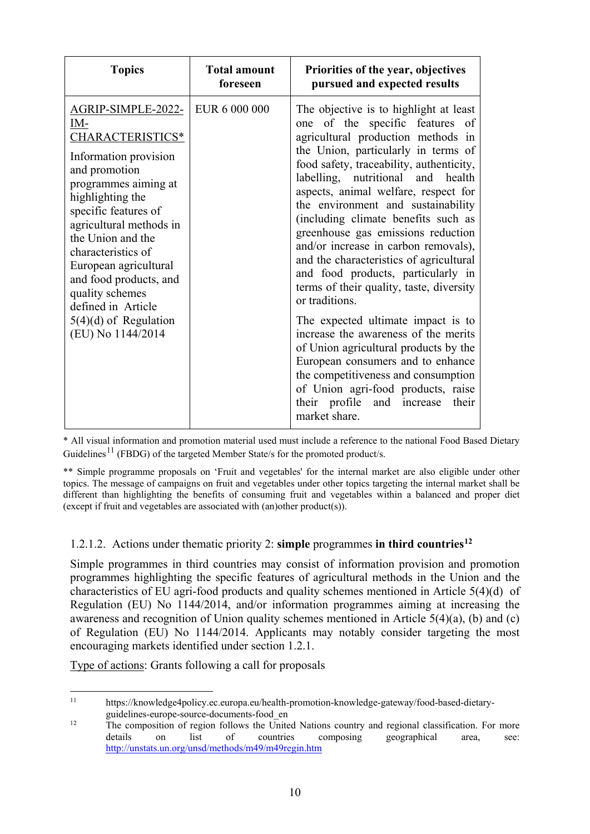| <b>Topics</b>                                                                                                                                                                                                                                                                                                                                                                 | <b>Total amount</b><br>foreseen | Priorities of the year, objectives<br>pursued and expected results                                                                                                                                                                                                                                                                                                                                                                                                                                                                                                                                                                                                                                                                                                                                                                                                                         |
|-------------------------------------------------------------------------------------------------------------------------------------------------------------------------------------------------------------------------------------------------------------------------------------------------------------------------------------------------------------------------------|---------------------------------|--------------------------------------------------------------------------------------------------------------------------------------------------------------------------------------------------------------------------------------------------------------------------------------------------------------------------------------------------------------------------------------------------------------------------------------------------------------------------------------------------------------------------------------------------------------------------------------------------------------------------------------------------------------------------------------------------------------------------------------------------------------------------------------------------------------------------------------------------------------------------------------------|
| AGRIP-SIMPLE-2022-<br>IM-<br>CHARACTERISTICS*<br>Information provision<br>and promotion<br>programmes aiming at<br>highlighting the<br>specific features of<br>agricultural methods in<br>the Union and the<br>characteristics of<br>European agricultural<br>and food products, and<br>quality schemes<br>defined in Article<br>$5(4)(d)$ of Regulation<br>(EU) No 1144/2014 | EUR 6 000 000                   | The objective is to highlight at least<br>one of the specific features of<br>agricultural production methods in<br>the Union, particularly in terms of<br>food safety, traceability, authenticity,<br>labelling, nutritional and health<br>aspects, animal welfare, respect for<br>the environment and sustainability<br>(including climate benefits such as<br>greenhouse gas emissions reduction<br>and/or increase in carbon removals),<br>and the characteristics of agricultural<br>and food products, particularly in<br>terms of their quality, taste, diversity<br>or traditions.<br>The expected ultimate impact is to<br>increase the awareness of the merits<br>of Union agricultural products by the<br>European consumers and to enhance<br>the competitiveness and consumption<br>of Union agri-food products, raise<br>their profile and increase<br>their<br>market share. |

\* All visual information and promotion material used must include a reference to the national Food Based Dietary Guidelines<sup>[11](#page-9-0)</sup> (FBDG) of the targeted Member State/s for the promoted product/s.

\*\* Simple programme proposals on 'Fruit and vegetables' for the internal market are also eligible under other topics. The message of campaigns on fruit and vegetables under other topics targeting the internal market shall be different than highlighting the benefits of consuming fruit and vegetables within a balanced and proper diet (except if fruit and vegetables are associated with (an)other product(s)).

# 1.2.1.2. Actions under thematic priority 2: **simple** programmes **in third countries[12](#page-9-1)**

Simple programmes in third countries may consist of information provision and promotion programmes highlighting the specific features of agricultural methods in the Union and the characteristics of EU agri-food products and quality schemes mentioned in Article 5(4)(d) of Regulation (EU) No 1144/2014, and/or information programmes aiming at increasing the awareness and recognition of Union quality schemes mentioned in Article 5(4)(a), (b) and (c) of Regulation (EU) No 1144/2014. Applicants may notably consider targeting the most encouraging markets identified under section 1.2.1.

Type of actions: Grants following a call for proposals

<span id="page-9-0"></span> <sup>11</sup> https://knowledge4policy.ec.europa.eu/health-promotion-knowledge-gateway/food-based-dietaryguidelines-europe-source-documents-food\_en<br>
<sup>12</sup> The composition of region follows the United Nations country and regional classification. For more

<span id="page-9-1"></span>details on list of countries composing geographical area, see: <http://unstats.un.org/unsd/methods/m49/m49regin.htm>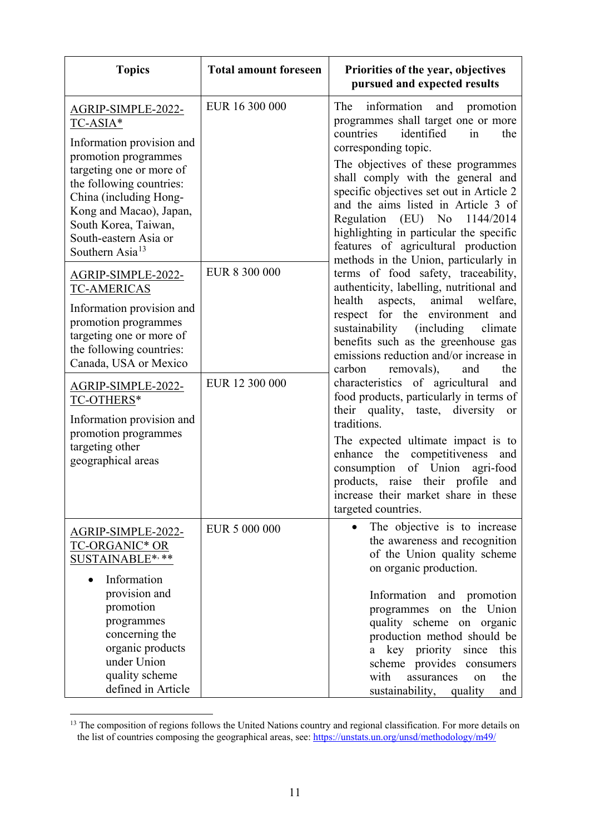| <b>Topics</b>                                                                                                                                                                                                                                                                                                                                                                                                                                                      | <b>Total amount foreseen</b>    | Priorities of the year, objectives<br>pursued and expected results                                                                                                                                                                                                                                                                                                                                                                                                                                                                                                                                                                                                                                                                                                                                              |
|--------------------------------------------------------------------------------------------------------------------------------------------------------------------------------------------------------------------------------------------------------------------------------------------------------------------------------------------------------------------------------------------------------------------------------------------------------------------|---------------------------------|-----------------------------------------------------------------------------------------------------------------------------------------------------------------------------------------------------------------------------------------------------------------------------------------------------------------------------------------------------------------------------------------------------------------------------------------------------------------------------------------------------------------------------------------------------------------------------------------------------------------------------------------------------------------------------------------------------------------------------------------------------------------------------------------------------------------|
| AGRIP-SIMPLE-2022-<br>TC-ASIA*<br>Information provision and<br>promotion programmes<br>targeting one or more of<br>the following countries:<br>China (including Hong-<br>Kong and Macao), Japan,<br>South Korea, Taiwan,<br>South-eastern Asia or<br>Southern Asia <sup>13</sup><br>AGRIP-SIMPLE-2022-<br><b>TC-AMERICAS</b><br>Information provision and<br>promotion programmes<br>targeting one or more of<br>the following countries:<br>Canada, USA or Mexico | EUR 16 300 000<br>EUR 8 300 000 | The<br>information and<br>promotion<br>programmes shall target one or more<br>countries<br>identified<br>in<br>the<br>corresponding topic.<br>The objectives of these programmes<br>shall comply with the general and<br>specific objectives set out in Article 2<br>and the aims listed in Article 3 of<br>$(EU)$ No<br>Regulation<br>1144/2014<br>highlighting in particular the specific<br>features of agricultural production<br>methods in the Union, particularly in<br>terms of food safety, traceability,<br>authenticity, labelling, nutritional and<br>health<br>animal<br>aspects,<br>welfare,<br>respect for the environment<br>and<br>sustainability (including<br>climate<br>benefits such as the greenhouse gas<br>emissions reduction and/or increase in<br>carbon<br>removals),<br>the<br>and |
| AGRIP-SIMPLE-2022-<br>TC-OTHERS*<br>Information provision and<br>promotion programmes<br>targeting other<br>geographical areas                                                                                                                                                                                                                                                                                                                                     | EUR 12 300 000                  | characteristics of agricultural<br>and<br>food products, particularly in terms of<br>their quality, taste, diversity<br><b>or</b><br>traditions.<br>The expected ultimate impact is to<br>enhance the competitiveness<br>and<br>of Union<br>consumption<br>agri-food<br>products, raise their profile and<br>increase their market share in these<br>targeted countries.                                                                                                                                                                                                                                                                                                                                                                                                                                        |
| AGRIP-SIMPLE-2022-<br><b>TC-ORGANIC* OR</b><br>SUSTAINABLE*,**<br>Information<br>provision and<br>promotion<br>programmes<br>concerning the<br>organic products<br>under Union<br>quality scheme<br>defined in Article                                                                                                                                                                                                                                             | EUR 5 000 000                   | The objective is to increase<br>$\bullet$<br>the awareness and recognition<br>of the Union quality scheme<br>on organic production.<br>Information<br>and promotion<br>the Union<br>programmes<br>on<br>quality scheme<br>on organic<br>production method should be<br>a key priority since this<br>scheme provides<br>consumers<br>with<br>assurances<br>the<br>on<br>sustainability, quality<br>and                                                                                                                                                                                                                                                                                                                                                                                                           |

<span id="page-10-0"></span><sup>13</sup> The composition of regions follows the United Nations country and regional classification. For more details on the list of countries composing the geographical areas, see:<https://unstats.un.org/unsd/methodology/m49/>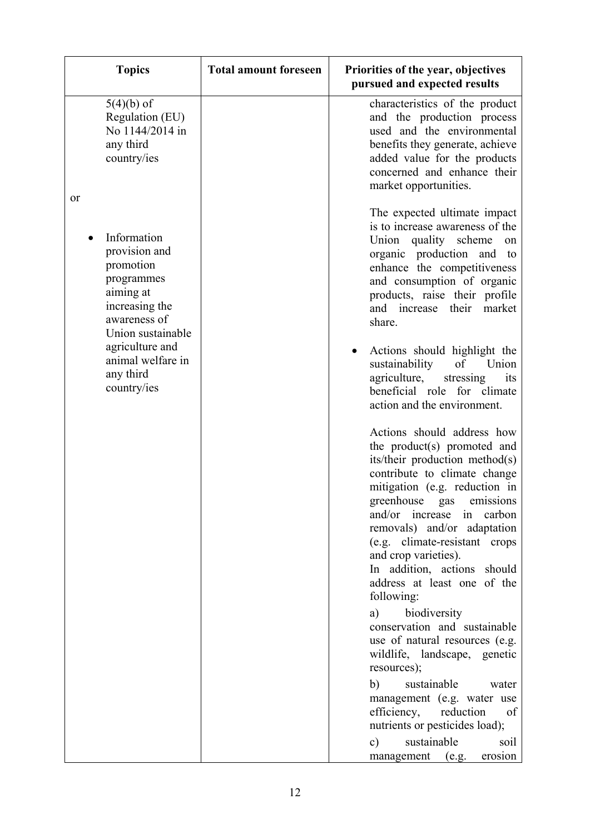| <b>Topics</b>                                                                                                                                                                                                | <b>Total amount foreseen</b> | Priorities of the year, objectives<br>pursued and expected results                                                                                                                                                                                                                                                                                                                                                                                                                                                                                                                                                                                                                                                                                                                                                                                                                                                                                                                                                                                                                                                                                                             |
|--------------------------------------------------------------------------------------------------------------------------------------------------------------------------------------------------------------|------------------------------|--------------------------------------------------------------------------------------------------------------------------------------------------------------------------------------------------------------------------------------------------------------------------------------------------------------------------------------------------------------------------------------------------------------------------------------------------------------------------------------------------------------------------------------------------------------------------------------------------------------------------------------------------------------------------------------------------------------------------------------------------------------------------------------------------------------------------------------------------------------------------------------------------------------------------------------------------------------------------------------------------------------------------------------------------------------------------------------------------------------------------------------------------------------------------------|
| $5(4)(b)$ of<br>Regulation (EU)<br>No 1144/2014 in<br>any third<br>country/ies                                                                                                                               |                              | characteristics of the product<br>and the production process<br>used and the environmental<br>benefits they generate, achieve<br>added value for the products<br>concerned and enhance their<br>market opportunities.                                                                                                                                                                                                                                                                                                                                                                                                                                                                                                                                                                                                                                                                                                                                                                                                                                                                                                                                                          |
| <b>or</b><br>Information<br>provision and<br>promotion<br>programmes<br>aiming at<br>increasing the<br>awareness of<br>Union sustainable<br>agriculture and<br>animal welfare in<br>any third<br>country/ies |                              | The expected ultimate impact<br>is to increase awareness of the<br>Union quality scheme<br>on<br>organic production and to<br>enhance the competitiveness<br>and consumption of organic<br>products, raise their profile<br>and increase<br>their<br>market<br>share.<br>Actions should highlight the<br>sustainability<br>of<br>Union<br>agriculture,<br>stressing<br>its<br>beneficial role for climate<br>action and the environment.<br>Actions should address how<br>the product(s) promoted and<br>its/their production method(s)<br>contribute to climate change<br>mitigation (e.g. reduction in<br>greenhouse gas emissions<br>and/or increase<br>in<br>carbon<br>removals) and/or adaptation<br>(e.g. climate-resistant crops<br>and crop varieties).<br>In addition, actions should<br>address at least one of the<br>following:<br>biodiversity<br>a)<br>conservation and sustainable<br>use of natural resources (e.g.<br>wildlife, landscape, genetic<br>resources);<br>sustainable<br>b)<br>water<br>management (e.g. water use<br>efficiency,<br>reduction<br>of<br>nutrients or pesticides load);<br>sustainable<br>soil<br>c)<br>erosion<br>management (e.g. |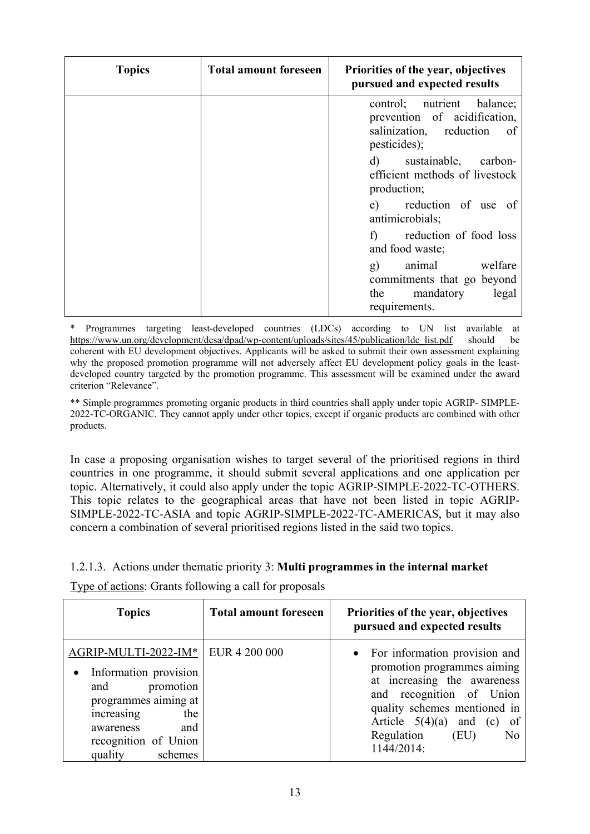| <b>Topics</b> | <b>Total amount foreseen</b> | Priorities of the year, objectives<br>pursued and expected results                                       |
|---------------|------------------------------|----------------------------------------------------------------------------------------------------------|
|               |                              | control; nutrient balance;<br>prevention of acidification,<br>salinization, reduction of<br>pesticides); |
|               |                              | d) sustainable, carbon-<br>efficient methods of livestock<br>production;                                 |
|               |                              | e) reduction of use of<br>antimicrobials;                                                                |
|               |                              | reduction of food loss<br>$\mathbf{f}$<br>and food waste;                                                |
|               |                              | animal<br>welfare<br>g)<br>commitments that go beyond<br>the<br>legal<br>mandatory<br>requirements.      |

\* Programmes targeting least-developed countries (LDCs) according to UN list available at [https://www.un.org/development/desa/dpad/wp-content/uploads/sites/45/publication/ldc\\_list.pdf](https://www.un.org/development/desa/dpad/wp-content/uploads/sites/45/publication/ldc_list.pdf) should be coherent with EU development objectives. Applicants will be asked to submit their own assessment explaining why the proposed promotion programme will not adversely affect EU development policy goals in the leastdeveloped country targeted by the promotion programme. This assessment will be examined under the award criterion "Relevance".

\*\* Simple programmes promoting organic products in third countries shall apply under topic AGRIP- SIMPLE-2022-TC-ORGANIC. They cannot apply under other topics, except if organic products are combined with other products.

In case a proposing organisation wishes to target several of the prioritised regions in third countries in one programme, it should submit several applications and one application per topic. Alternatively, it could also apply under the topic AGRIP-SIMPLE-2022-TC-OTHERS. This topic relates to the geographical areas that have not been listed in topic AGRIP-SIMPLE-2022-TC-ASIA and topic AGRIP-SIMPLE-2022-TC-AMERICAS, but it may also concern a combination of several prioritised regions listed in the said two topics.

# 1.2.1.3. Actions under thematic priority 3: **Multi programmes in the internal market**

Type of actions: Grants following a call for proposals

| <b>Topics</b>                                                                                                                                                                    | <b>Total amount foreseen</b> | Priorities of the year, objectives<br>pursued and expected results                                                                                                                                                                                 |
|----------------------------------------------------------------------------------------------------------------------------------------------------------------------------------|------------------------------|----------------------------------------------------------------------------------------------------------------------------------------------------------------------------------------------------------------------------------------------------|
| AGRIP-MULTI-2022-IM*<br>Information provision<br>promotion<br>and<br>programmes aiming at<br>increasing<br>the<br>and<br>awareness<br>recognition of Union<br>schemes<br>quality | EUR 4 200 000                | • For information provision and<br>promotion programmes aiming<br>at increasing the awareness<br>and recognition of Union<br>quality schemes mentioned in<br>Article $5(4)(a)$ and (c)<br>of<br>Regulation<br>(EU)<br>N <sub>o</sub><br>1144/2014: |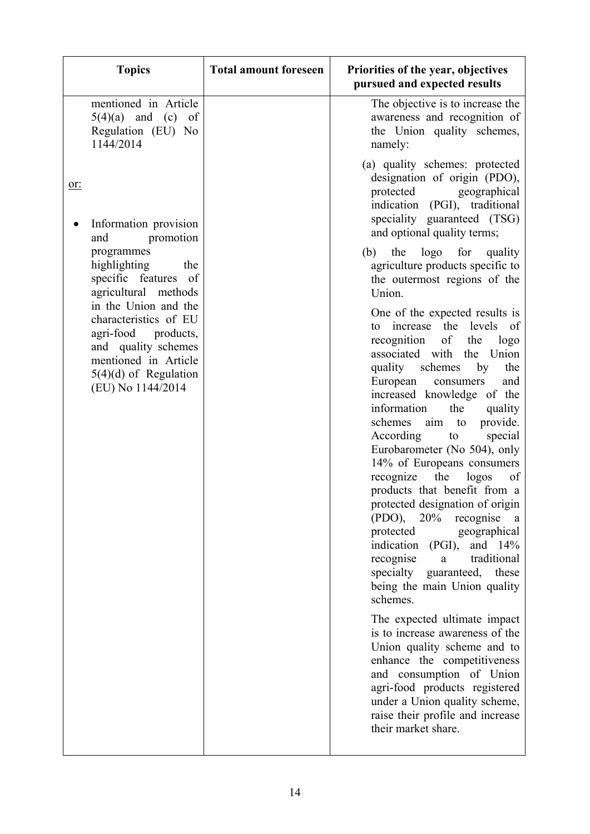| <b>Topics</b>                                                                                                                                                       | <b>Total amount foreseen</b> | Priorities of the year, objectives<br>pursued and expected results                                                                                                                                                                                                                                                                                                                                                                                                                                                                                                                                                                                                                                                                                                                                                                                                                                                                |
|---------------------------------------------------------------------------------------------------------------------------------------------------------------------|------------------------------|-----------------------------------------------------------------------------------------------------------------------------------------------------------------------------------------------------------------------------------------------------------------------------------------------------------------------------------------------------------------------------------------------------------------------------------------------------------------------------------------------------------------------------------------------------------------------------------------------------------------------------------------------------------------------------------------------------------------------------------------------------------------------------------------------------------------------------------------------------------------------------------------------------------------------------------|
| mentioned in Article<br>$5(4)(a)$ and (c)<br>of<br>Regulation (EU) No<br>1144/2014                                                                                  |                              | The objective is to increase the<br>awareness and recognition of<br>the Union quality schemes,<br>namely:                                                                                                                                                                                                                                                                                                                                                                                                                                                                                                                                                                                                                                                                                                                                                                                                                         |
| or:<br>Information provision                                                                                                                                        |                              | (a) quality schemes: protected<br>designation of origin (PDO),<br>protected<br>geographical<br>indication (PGI), traditional<br>speciality guaranteed (TSG)                                                                                                                                                                                                                                                                                                                                                                                                                                                                                                                                                                                                                                                                                                                                                                       |
| promotion<br>and<br>programmes<br>highlighting<br>the<br>specific features of<br>agricultural methods                                                               |                              | and optional quality terms;<br>(b) the logo for quality<br>agriculture products specific to<br>the outermost regions of the<br>Union.                                                                                                                                                                                                                                                                                                                                                                                                                                                                                                                                                                                                                                                                                                                                                                                             |
| in the Union and the<br>characteristics of EU<br>agri-food products,<br>and quality schemes<br>mentioned in Article<br>$5(4)(d)$ of Regulation<br>(EU) No 1144/2014 |                              | One of the expected results is<br>the levels<br>increase<br>of<br>to<br>recognition<br>of<br>the<br>logo<br>associated with<br>the<br>Union<br>quality<br>the<br>schemes<br>by<br>European<br>and<br>consumers<br>increased knowledge of the<br>information<br>the<br>quality<br>provide.<br>schemes<br>aim<br>to<br>According<br>special<br>to<br>Eurobarometer (No 504), only<br>14% of Europeans consumers<br>recognize<br>the<br>logos<br>of<br>products that benefit from a<br>protected designation of origin<br>( PDO),<br>20%<br>recognise<br>a<br>protected<br>geographical<br>indication (PGI),<br>and 14%<br>recognise<br>traditional<br>a<br>specialty<br>guaranteed, these<br>being the main Union quality<br>schemes.<br>The expected ultimate impact<br>is to increase awareness of the<br>Union quality scheme and to<br>enhance the competitiveness<br>and consumption of Union<br>agri-food products registered |
|                                                                                                                                                                     |                              | under a Union quality scheme,<br>raise their profile and increase<br>their market share.                                                                                                                                                                                                                                                                                                                                                                                                                                                                                                                                                                                                                                                                                                                                                                                                                                          |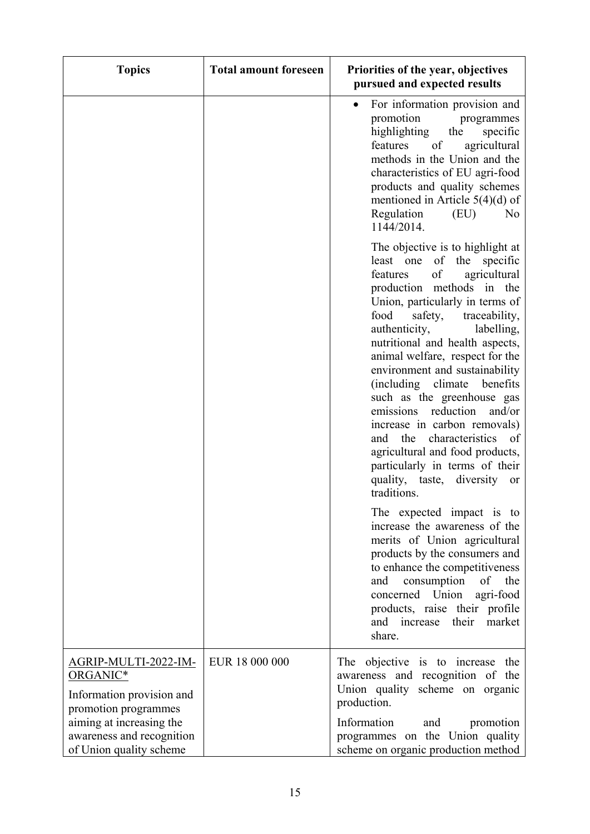| <b>Topics</b>                                                                                | <b>Total amount foreseen</b> | Priorities of the year, objectives<br>pursued and expected results                                                                                                                                                                                                                                                                                                                                                                                                                                                                                                                                                                            |
|----------------------------------------------------------------------------------------------|------------------------------|-----------------------------------------------------------------------------------------------------------------------------------------------------------------------------------------------------------------------------------------------------------------------------------------------------------------------------------------------------------------------------------------------------------------------------------------------------------------------------------------------------------------------------------------------------------------------------------------------------------------------------------------------|
|                                                                                              |                              | For information provision and<br>$\bullet$<br>promotion<br>programmes<br>highlighting<br>the<br>specific<br>features<br>agricultural<br>of<br>methods in the Union and the<br>characteristics of EU agri-food<br>products and quality schemes<br>mentioned in Article $5(4)(d)$ of<br>N <sub>o</sub><br>Regulation<br>(EU)<br>1144/2014.                                                                                                                                                                                                                                                                                                      |
|                                                                                              |                              | The objective is to highlight at<br>least one of the specific<br>of<br>features<br>agricultural<br>production methods in the<br>Union, particularly in terms of<br>safety,<br>food<br>traceability,<br>labelling,<br>authenticity,<br>nutritional and health aspects,<br>animal welfare, respect for the<br>environment and sustainability<br>benefits<br>(including climate)<br>such as the greenhouse gas<br>reduction<br>and/or<br>emissions<br>increase in carbon removals)<br>characteristics<br>and<br>the<br>of<br>agricultural and food products,<br>particularly in terms of their<br>quality, taste, diversity<br>or<br>traditions. |
|                                                                                              |                              | The expected impact is to<br>increase the awareness of the<br>merits of Union agricultural<br>products by the consumers and<br>to enhance the competitiveness<br>consumption of the<br>and<br>concerned Union<br>agri-food<br>products, raise their profile<br>increase<br>their market<br>and<br>share.                                                                                                                                                                                                                                                                                                                                      |
| <u>AGRIP-MULTI-2022-IM-</u><br>ORGANIC*<br>Information provision and<br>promotion programmes | EUR 18 000 000               | The objective is to increase the<br>awareness and recognition of the<br>Union quality scheme on organic<br>production.                                                                                                                                                                                                                                                                                                                                                                                                                                                                                                                        |
| aiming at increasing the<br>awareness and recognition<br>of Union quality scheme             |                              | Information<br>promotion<br>and<br>programmes on the Union quality<br>scheme on organic production method                                                                                                                                                                                                                                                                                                                                                                                                                                                                                                                                     |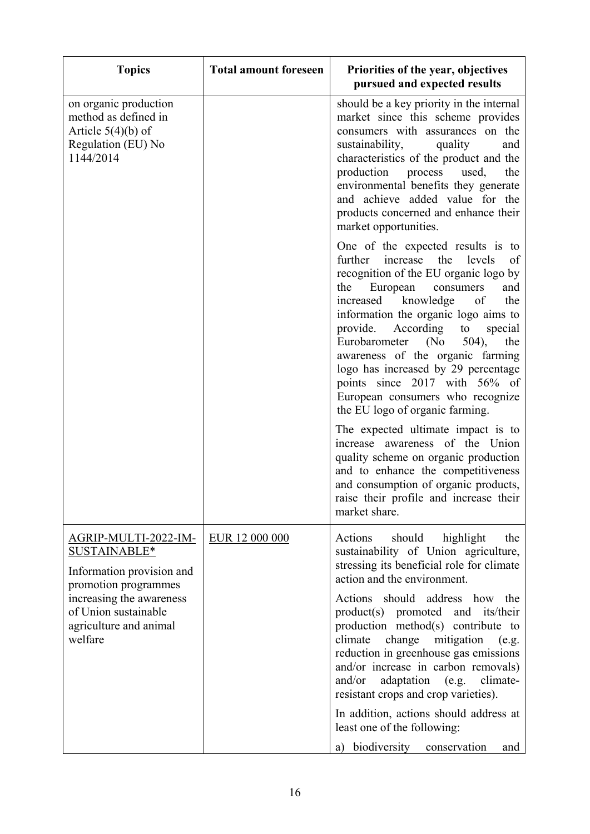| <b>Topics</b>                                                                                                                                                                      | <b>Total amount foreseen</b> | Priorities of the year, objectives<br>pursued and expected results                                                                                                                                                                                                                                                                                                                                                                                                                                                                                                                                                                                                                                                                                                       |
|------------------------------------------------------------------------------------------------------------------------------------------------------------------------------------|------------------------------|--------------------------------------------------------------------------------------------------------------------------------------------------------------------------------------------------------------------------------------------------------------------------------------------------------------------------------------------------------------------------------------------------------------------------------------------------------------------------------------------------------------------------------------------------------------------------------------------------------------------------------------------------------------------------------------------------------------------------------------------------------------------------|
| on organic production<br>method as defined in<br>Article $5(4)(b)$ of<br>Regulation (EU) No<br>1144/2014                                                                           |                              | should be a key priority in the internal<br>market since this scheme provides<br>consumers with assurances on the<br>sustainability,<br>quality<br>and<br>characteristics of the product and the<br>production process used,<br>the<br>environmental benefits they generate<br>and achieve added value for the<br>products concerned and enhance their<br>market opportunities.                                                                                                                                                                                                                                                                                                                                                                                          |
|                                                                                                                                                                                    |                              | One of the expected results is to<br>further<br>levels<br>increase<br>the<br>of<br>recognition of the EU organic logo by<br>European<br>consumers<br>the<br>and<br>increased knowledge<br>the<br>of<br>information the organic logo aims to<br>According<br>provide.<br>to special<br>Eurobarometer<br>(No)<br>504),<br>the<br>awareness of the organic farming<br>logo has increased by 29 percentage<br>points since 2017 with 56% of<br>European consumers who recognize<br>the EU logo of organic farming.<br>The expected ultimate impact is to<br>increase awareness of the Union<br>quality scheme on organic production<br>and to enhance the competitiveness<br>and consumption of organic products,<br>raise their profile and increase their<br>market share. |
| AGRIP-MULTI-2022-IM-<br>SUSTAINABLE*<br>Information provision and<br>promotion programmes<br>increasing the awareness<br>of Union sustainable<br>agriculture and animal<br>welfare | EUR 12 000 000               | should<br>highlight<br>the<br>Actions<br>sustainability of Union agriculture,<br>stressing its beneficial role for climate<br>action and the environment.<br>Actions should address how the<br>product(s) promoted and its/their<br>production method(s) contribute to<br>change<br>climate<br>mitigation (e.g.<br>reduction in greenhouse gas emissions<br>and/or increase in carbon removals)<br>adaptation (e.g.<br>and/or<br>climate-<br>resistant crops and crop varieties).<br>In addition, actions should address at<br>least one of the following:<br>a) biodiversity conservation<br>and                                                                                                                                                                        |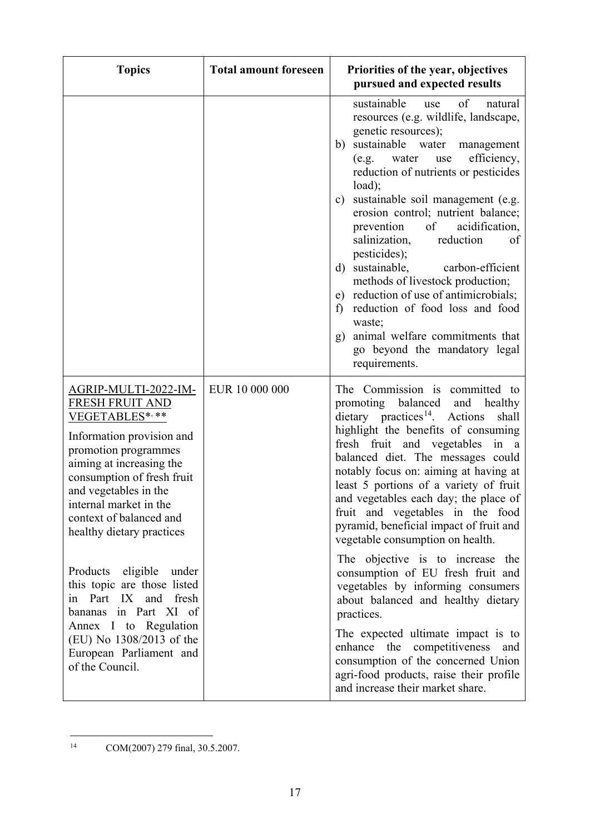| <b>Topics</b>                                                                                                                                                                                                                                                                                                                                                                                                                                                                                               | <b>Total amount foreseen</b> | Priorities of the year, objectives<br>pursued and expected results                                                                                                                                                                                                                                                                                                                                                                                                                                                                                                                                                                                                                                                                                                                                                                                               |
|-------------------------------------------------------------------------------------------------------------------------------------------------------------------------------------------------------------------------------------------------------------------------------------------------------------------------------------------------------------------------------------------------------------------------------------------------------------------------------------------------------------|------------------------------|------------------------------------------------------------------------------------------------------------------------------------------------------------------------------------------------------------------------------------------------------------------------------------------------------------------------------------------------------------------------------------------------------------------------------------------------------------------------------------------------------------------------------------------------------------------------------------------------------------------------------------------------------------------------------------------------------------------------------------------------------------------------------------------------------------------------------------------------------------------|
|                                                                                                                                                                                                                                                                                                                                                                                                                                                                                                             |                              | sustainable<br>of<br>use<br>natural<br>resources (e.g. wildlife, landscape,<br>genetic resources);<br>sustainable water<br>b)<br>management<br>efficiency,<br>(e.g.<br>water<br>use<br>reduction of nutrients or pesticides<br>load);<br>sustainable soil management (e.g.<br>$\mathbf{c})$<br>erosion control; nutrient balance;<br>acidification,<br>prevention<br>$\circ$ f<br>salinization,<br>reduction<br>of<br>pesticides);<br>d) sustainable,<br>carbon-efficient<br>methods of livestock production;<br>e) reduction of use of antimicrobials;<br>reduction of food loss and food<br>f<br>waste;<br>animal welfare commitments that<br>g)<br>go beyond the mandatory legal<br>requirements.                                                                                                                                                             |
| AGRIP-MULTI-2022-IM-<br><b>FRESH FRUIT AND</b><br>VEGETABLES*,**<br>Information provision and<br>promotion programmes<br>aiming at increasing the<br>consumption of fresh fruit<br>and vegetables in the<br>internal market in the<br>context of balanced and<br>healthy dietary practices<br>Products eligible under<br>this topic are those listed<br>in Part IX<br>and fresh<br>bananas in Part XI of<br>Annex I to Regulation<br>(EU) No 1308/2013 of the<br>European Parliament and<br>of the Council. | EUR 10 000 000               | The Commission is committed to<br>promoting balanced and healthy<br>$\text{dietary}$ practices <sup>14</sup> . Actions<br>shall<br>highlight the benefits of consuming<br>fresh fruit and vegetables<br>in a<br>balanced diet. The messages could<br>notably focus on: aiming at having at<br>least 5 portions of a variety of fruit<br>and vegetables each day; the place of<br>fruit and vegetables in the food<br>pyramid, beneficial impact of fruit and<br>vegetable consumption on health.<br>The objective is to increase the<br>consumption of EU fresh fruit and<br>vegetables by informing consumers<br>about balanced and healthy dietary<br>practices.<br>The expected ultimate impact is to<br>enhance the competitiveness and<br>consumption of the concerned Union<br>agri-food products, raise their profile<br>and increase their market share. |

<span id="page-16-0"></span> <sup>14</sup> COM(2007) 279 final, 30.5.2007.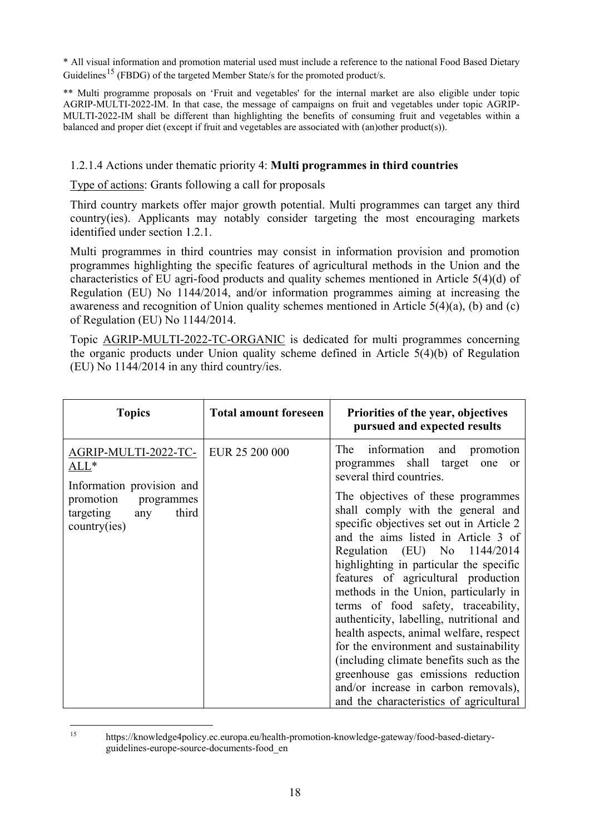\* All visual information and promotion material used must include a reference to the national Food Based Dietary Guidelines<sup>[15](#page-17-0)</sup> (FBDG) of the targeted Member State/s for the promoted product/s.

\*\* Multi programme proposals on 'Fruit and vegetables' for the internal market are also eligible under topic AGRIP-MULTI-2022-IM. In that case, the message of campaigns on fruit and vegetables under topic AGRIP-MULTI-2022-IM shall be different than highlighting the benefits of consuming fruit and vegetables within a balanced and proper diet (except if fruit and vegetables are associated with (an)other product(s)).

# 1.2.1.4 Actions under thematic priority 4: **Multi programmes in third countries**

Type of actions: Grants following a call for proposals

Third country markets offer major growth potential. Multi programmes can target any third country(ies). Applicants may notably consider targeting the most encouraging markets identified under section 1.2.1.

Multi programmes in third countries may consist in information provision and promotion programmes highlighting the specific features of agricultural methods in the Union and the characteristics of EU agri-food products and quality schemes mentioned in Article 5(4)(d) of Regulation (EU) No 1144/2014, and/or information programmes aiming at increasing the awareness and recognition of Union quality schemes mentioned in Article 5(4)(a), (b) and (c) of Regulation (EU) No 1144/2014.

Topic AGRIP-MULTI-2022-TC-ORGANIC is dedicated for multi programmes concerning the organic products under Union quality scheme defined in Article 5(4)(b) of Regulation (EU) No 1144/2014 in any third country/ies.

| <b>Topics</b>                                                                                                                              | <b>Total amount foreseen</b> | Priorities of the year, objectives<br>pursued and expected results                                                                                                                                                                                                                                                                                                                                                                                                                                                                                                                                                                                                                                                                                                  |
|--------------------------------------------------------------------------------------------------------------------------------------------|------------------------------|---------------------------------------------------------------------------------------------------------------------------------------------------------------------------------------------------------------------------------------------------------------------------------------------------------------------------------------------------------------------------------------------------------------------------------------------------------------------------------------------------------------------------------------------------------------------------------------------------------------------------------------------------------------------------------------------------------------------------------------------------------------------|
| AGRIP-MULTI-2022-TC-<br>$\mathrm{ALL}^*$<br>Information provision and<br>promotion<br>programmes<br>targeting any<br>third<br>country(ies) | EUR 25 200 000               | The<br>information and promotion<br>programmes shall target one or<br>several third countries.<br>The objectives of these programmes<br>shall comply with the general and<br>specific objectives set out in Article 2<br>and the aims listed in Article 3 of<br>Regulation (EU) No 1144/2014<br>highlighting in particular the specific<br>features of agricultural production<br>methods in the Union, particularly in<br>terms of food safety, traceability,<br>authenticity, labelling, nutritional and<br>health aspects, animal welfare, respect<br>for the environment and sustainability<br>(including climate benefits such as the<br>greenhouse gas emissions reduction<br>and/or increase in carbon removals),<br>and the characteristics of agricultural |

<span id="page-17-0"></span> <sup>15</sup> https://knowledge4policy.ec.europa.eu/health-promotion-knowledge-gateway/food-based-dietaryguidelines-europe-source-documents-food\_en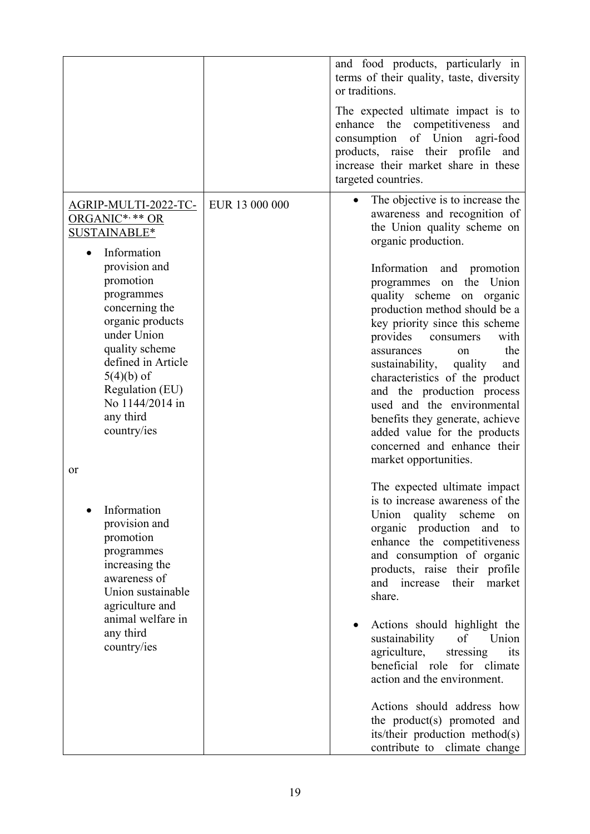|                                                                                                                                                                                                                                                                                                          |                | and food products, particularly in<br>terms of their quality, taste, diversity<br>or traditions.<br>The expected ultimate impact is to<br>enhance the competitiveness<br>and<br>consumption of Union<br>agri-food<br>products, raise their profile<br>and<br>increase their market share in these<br>targeted countries.                                                                                                                                                                                                                                                                               |
|----------------------------------------------------------------------------------------------------------------------------------------------------------------------------------------------------------------------------------------------------------------------------------------------------------|----------------|--------------------------------------------------------------------------------------------------------------------------------------------------------------------------------------------------------------------------------------------------------------------------------------------------------------------------------------------------------------------------------------------------------------------------------------------------------------------------------------------------------------------------------------------------------------------------------------------------------|
| <u>AGRIP-MULTI-2022-TC-</u><br>ORGANIC*, ** OR<br>SUSTAINABLE*<br>Information<br>provision and<br>promotion<br>programmes<br>concerning the<br>organic products<br>under Union<br>quality scheme<br>defined in Article<br>$5(4)(b)$ of<br>Regulation (EU)<br>No 1144/2014 in<br>any third<br>country/ies | EUR 13 000 000 | The objective is to increase the<br>awareness and recognition of<br>the Union quality scheme on<br>organic production.<br>Information<br>and promotion<br>the<br>Union<br>programmes<br>on<br>quality scheme on organic<br>production method should be a<br>key priority since this scheme<br>provides<br>with<br>consumers<br>the<br>assurances<br>on<br>sustainability,<br>quality<br>and<br>characteristics of the product<br>and the production process<br>used and the environmental<br>benefits they generate, achieve<br>added value for the products<br>concerned and enhance their            |
| or<br>Information<br>provision and<br>promotion<br>programmes<br>increasing the<br>awareness of<br>Union sustainable<br>agriculture and<br>animal welfare in<br>any third<br>country/ies                                                                                                                 |                | market opportunities.<br>The expected ultimate impact<br>is to increase awareness of the<br>Union quality scheme<br>on<br>organic production and<br>to<br>enhance the competitiveness<br>and consumption of organic<br>products, raise their profile<br>their<br>market<br>and increase<br>share.<br>Actions should highlight the<br>sustainability<br>of<br>Union<br>agriculture,<br>stressing<br>its<br>beneficial role for climate<br>action and the environment.<br>Actions should address how<br>the product(s) promoted and<br>its/their production method(s)<br>contribute to<br>climate change |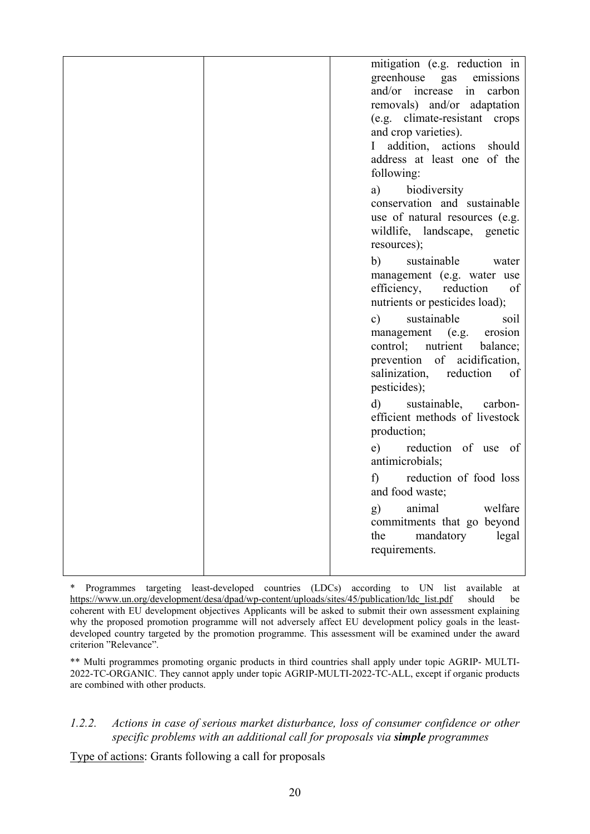|  | mitigation (e.g. reduction in<br>greenhouse gas<br>emissions<br>and/or increase<br>in<br>carbon<br>removals) and/or adaptation<br>(e.g. climate-resistant crops<br>and crop varieties).<br>addition, actions should<br>$\mathbf{I}$<br>address at least one of the<br>following:<br>a) biodiversity |
|--|-----------------------------------------------------------------------------------------------------------------------------------------------------------------------------------------------------------------------------------------------------------------------------------------------------|
|  | conservation and sustainable<br>use of natural resources (e.g.<br>wildlife, landscape, genetic<br>resources);                                                                                                                                                                                       |
|  | b) sustainable<br>water<br>management (e.g. water use<br>efficiency, reduction<br>of<br>nutrients or pesticides load);                                                                                                                                                                              |
|  | sustainable<br>soil<br>c)<br>management (e.g. erosion<br>control; nutrient balance;<br>prevention of acidification,<br>salinization, reduction of<br>pesticides);                                                                                                                                   |
|  | d) sustainable, carbon-<br>efficient methods of livestock<br>production;                                                                                                                                                                                                                            |
|  | reduction of use of<br>e)<br>antimicrobials;                                                                                                                                                                                                                                                        |
|  | reduction of food loss<br>f)<br>and food waste;                                                                                                                                                                                                                                                     |
|  | animal<br>welfare<br>g)<br>commitments that go beyond<br>legal<br>mandatory<br>the<br>requirements.                                                                                                                                                                                                 |
|  |                                                                                                                                                                                                                                                                                                     |

\* Programmes targeting least-developed countries (LDCs) according to UN list available at [https://www.un.org/development/desa/dpad/wp-content/uploads/sites/45/publication/ldc\\_list.pdf](https://www.un.org/development/desa/dpad/wp-content/uploads/sites/45/publication/ldc_list.pdf) should be coherent with EU development objectives Applicants will be asked to submit their own assessment explaining why the proposed promotion programme will not adversely affect EU development policy goals in the leastdeveloped country targeted by the promotion programme. This assessment will be examined under the award criterion "Relevance".

\*\* Multi programmes promoting organic products in third countries shall apply under topic AGRIP- MULTI-2022-TC-ORGANIC. They cannot apply under topic AGRIP-MULTI-2022-TC-ALL, except if organic products are combined with other products.

## *1.2.2. Actions in case of serious market disturbance, loss of consumer confidence or other specific problems with an additional call for proposals via simple programmes*

Type of actions: Grants following a call for proposals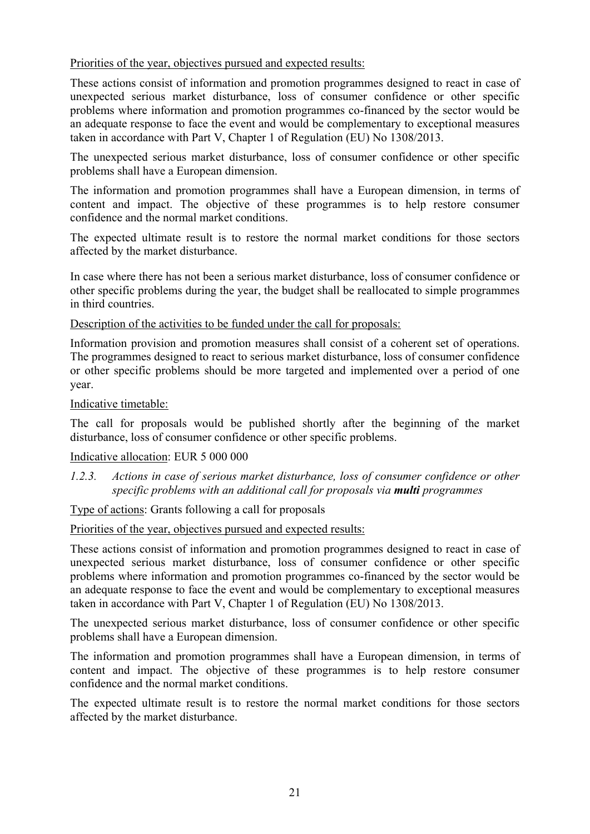Priorities of the year, objectives pursued and expected results:

These actions consist of information and promotion programmes designed to react in case of unexpected serious market disturbance, loss of consumer confidence or other specific problems where information and promotion programmes co-financed by the sector would be an adequate response to face the event and would be complementary to exceptional measures taken in accordance with Part V, Chapter 1 of Regulation (EU) No 1308/2013.

The unexpected serious market disturbance, loss of consumer confidence or other specific problems shall have a European dimension.

The information and promotion programmes shall have a European dimension, in terms of content and impact. The objective of these programmes is to help restore consumer confidence and the normal market conditions.

The expected ultimate result is to restore the normal market conditions for those sectors affected by the market disturbance.

In case where there has not been a serious market disturbance, loss of consumer confidence or other specific problems during the year, the budget shall be reallocated to simple programmes in third countries.

Description of the activities to be funded under the call for proposals:

Information provision and promotion measures shall consist of a coherent set of operations. The programmes designed to react to serious market disturbance, loss of consumer confidence or other specific problems should be more targeted and implemented over a period of one year.

## Indicative timetable:

The call for proposals would be published shortly after the beginning of the market disturbance, loss of consumer confidence or other specific problems.

# Indicative allocation: EUR 5 000 000

*1.2.3. Actions in case of serious market disturbance, loss of consumer confidence or other specific problems with an additional call for proposals via multi programmes*

Type of actions: Grants following a call for proposals

Priorities of the year, objectives pursued and expected results:

These actions consist of information and promotion programmes designed to react in case of unexpected serious market disturbance, loss of consumer confidence or other specific problems where information and promotion programmes co-financed by the sector would be an adequate response to face the event and would be complementary to exceptional measures taken in accordance with Part V, Chapter 1 of Regulation (EU) No 1308/2013.

The unexpected serious market disturbance, loss of consumer confidence or other specific problems shall have a European dimension.

The information and promotion programmes shall have a European dimension, in terms of content and impact. The objective of these programmes is to help restore consumer confidence and the normal market conditions.

The expected ultimate result is to restore the normal market conditions for those sectors affected by the market disturbance.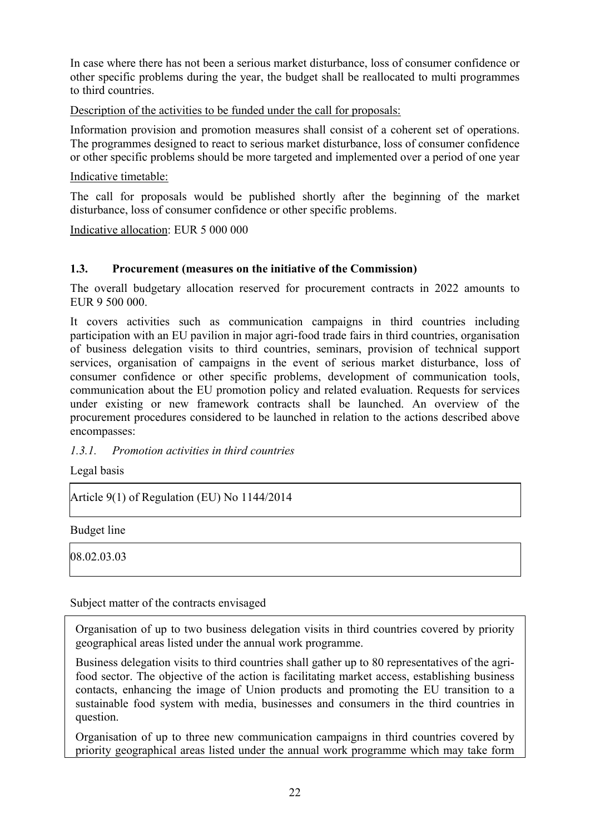In case where there has not been a serious market disturbance, loss of consumer confidence or other specific problems during the year, the budget shall be reallocated to multi programmes to third countries.

Description of the activities to be funded under the call for proposals:

Information provision and promotion measures shall consist of a coherent set of operations. The programmes designed to react to serious market disturbance, loss of consumer confidence or other specific problems should be more targeted and implemented over a period of one year

Indicative timetable:

The call for proposals would be published shortly after the beginning of the market disturbance, loss of consumer confidence or other specific problems.

Indicative allocation: EUR 5 000 000

# **1.3. Procurement (measures on the initiative of the Commission)**

The overall budgetary allocation reserved for procurement contracts in 2022 amounts to EUR 9 500 000.

It covers activities such as communication campaigns in third countries including participation with an EU pavilion in major agri-food trade fairs in third countries, organisation of business delegation visits to third countries, seminars, provision of technical support services, organisation of campaigns in the event of serious market disturbance, loss of consumer confidence or other specific problems, development of communication tools, communication about the EU promotion policy and related evaluation. Requests for services under existing or new framework contracts shall be launched. An overview of the procurement procedures considered to be launched in relation to the actions described above encompasses:

#### *1.3.1. Promotion activities in third countries*

Legal basis

Article 9(1) of Regulation (EU) No 1144/2014

Budget line

08.02.03.03

Subject matter of the contracts envisaged

Organisation of up to two business delegation visits in third countries covered by priority geographical areas listed under the annual work programme.

Business delegation visits to third countries shall gather up to 80 representatives of the agrifood sector. The objective of the action is facilitating market access, establishing business contacts, enhancing the image of Union products and promoting the EU transition to a sustainable food system with media, businesses and consumers in the third countries in question.

Organisation of up to three new communication campaigns in third countries covered by priority geographical areas listed under the annual work programme which may take form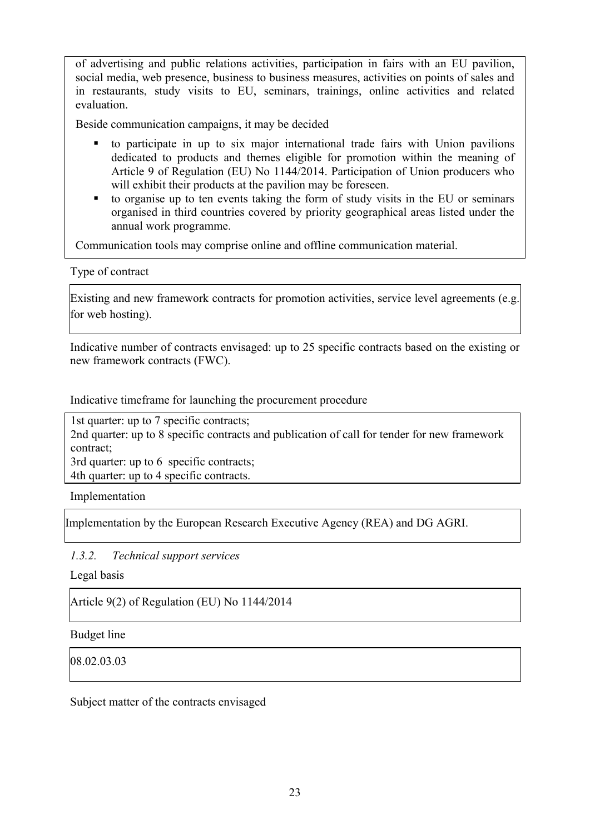of advertising and public relations activities, participation in fairs with an EU pavilion, social media, web presence, business to business measures, activities on points of sales and in restaurants, study visits to EU, seminars, trainings, online activities and related evaluation.

Beside communication campaigns, it may be decided

- to participate in up to six major international trade fairs with Union pavilions dedicated to products and themes eligible for promotion within the meaning of Article 9 of Regulation (EU) No 1144/2014. Participation of Union producers who will exhibit their products at the pavilion may be foreseen.
- to organise up to ten events taking the form of study visits in the EU or seminars organised in third countries covered by priority geographical areas listed under the annual work programme.

Communication tools may comprise online and offline communication material.

Type of contract

Existing and new framework contracts for promotion activities, service level agreements (e.g. for web hosting).

Indicative number of contracts envisaged: up to 25 specific contracts based on the existing or new framework contracts (FWC).

Indicative timeframe for launching the procurement procedure

1st quarter: up to 7 specific contracts; 2nd quarter: up to 8 specific contracts and publication of call for tender for new framework contract; 3rd quarter: up to 6 specific contracts; 4th quarter: up to 4 specific contracts.

Implementation

Implementation by the European Research Executive Agency (REA) and DG AGRI.

*1.3.2. Technical support services*

Legal basis

Article 9(2) of Regulation (EU) No 1144/2014

Budget line

08.02.03.03

Subject matter of the contracts envisaged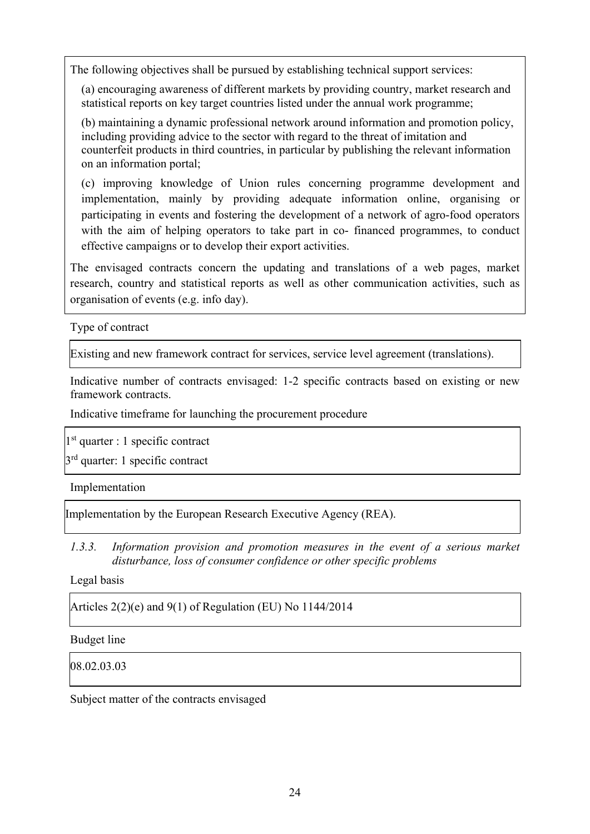The following objectives shall be pursued by establishing technical support services:

(a) encouraging awareness of different markets by providing country, market research and statistical reports on key target countries listed under the annual work programme;

(b) maintaining a dynamic professional network around information and promotion policy, including providing advice to the sector with regard to the threat of imitation and counterfeit products in third countries, in particular by publishing the relevant information on an information portal;

(c) improving knowledge of Union rules concerning programme development and implementation, mainly by providing adequate information online, organising or participating in events and fostering the development of a network of agro-food operators with the aim of helping operators to take part in co- financed programmes, to conduct effective campaigns or to develop their export activities.

The envisaged contracts concern the updating and translations of a web pages, market research, country and statistical reports as well as other communication activities, such as organisation of events (e.g. info day).

Type of contract

Existing and new framework contract for services, service level agreement (translations).

Indicative number of contracts envisaged: 1-2 specific contracts based on existing or new framework contracts.

Indicative timeframe for launching the procurement procedure

 $1<sup>st</sup>$  quarter : 1 specific contract

 $3<sup>rd</sup>$  quarter: 1 specific contract

Implementation

Implementation by the European Research Executive Agency (REA).

*1.3.3. Information provision and promotion measures in the event of a serious market disturbance, loss of consumer confidence or other specific problems*

Legal basis

Articles 2(2)(e) and 9(1) of Regulation (EU) No 1144/2014

Budget line

08.02.03.03

Subject matter of the contracts envisaged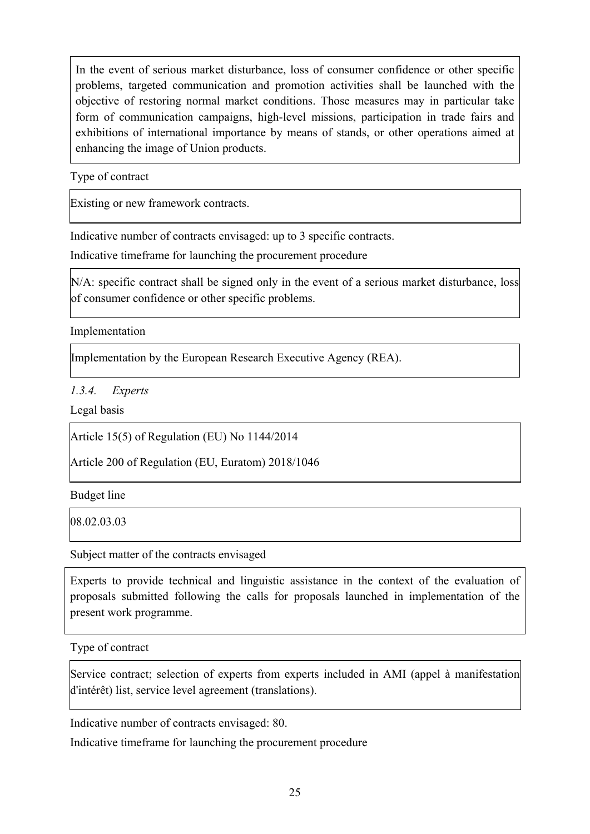In the event of serious market disturbance, loss of consumer confidence or other specific problems, targeted communication and promotion activities shall be launched with the objective of restoring normal market conditions. Those measures may in particular take form of communication campaigns, high-level missions, participation in trade fairs and exhibitions of international importance by means of stands, or other operations aimed at enhancing the image of Union products.

Type of contract

Existing or new framework contracts.

Indicative number of contracts envisaged: up to 3 specific contracts.

Indicative timeframe for launching the procurement procedure

N/A: specific contract shall be signed only in the event of a serious market disturbance, loss of consumer confidence or other specific problems.

Implementation

Implementation by the European Research Executive Agency (REA).

*1.3.4. Experts* 

Legal basis

Article 15(5) of Regulation (EU) No 1144/2014

Article 200 of Regulation (EU, Euratom) 2018/1046

Budget line

08.02.03.03

Subject matter of the contracts envisaged

Experts to provide technical and linguistic assistance in the context of the evaluation of proposals submitted following the calls for proposals launched in implementation of the present work programme.

Type of contract

Service contract; selection of experts from experts included in AMI (appel à manifestation d'intérêt) list, service level agreement (translations).

Indicative number of contracts envisaged: 80.

Indicative timeframe for launching the procurement procedure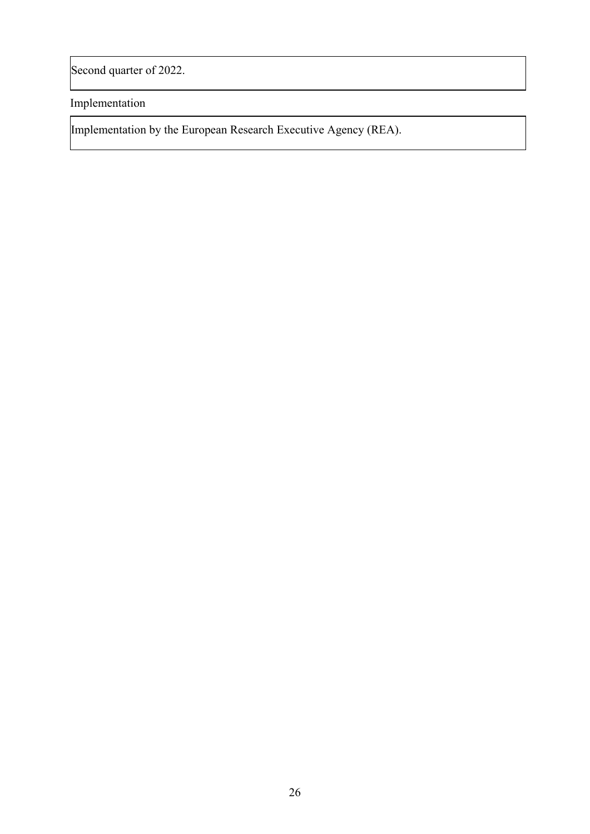Second quarter of 2022.

Implementation

Implementation by the European Research Executive Agency (REA).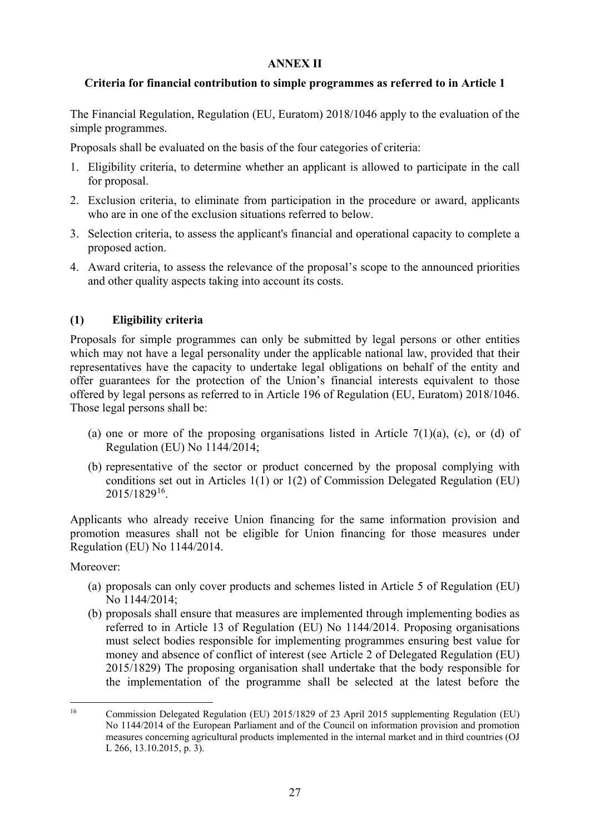## **ANNEX II**

# **Criteria for financial contribution to simple programmes as referred to in Article 1**

The Financial Regulation, Regulation (EU, Euratom) 2018/1046 apply to the evaluation of the simple programmes.

Proposals shall be evaluated on the basis of the four categories of criteria:

- 1. Eligibility criteria, to determine whether an applicant is allowed to participate in the call for proposal.
- 2. Exclusion criteria, to eliminate from participation in the procedure or award, applicants who are in one of the exclusion situations referred to below.
- 3. Selection criteria, to assess the applicant's financial and operational capacity to complete a proposed action.
- 4. Award criteria, to assess the relevance of the proposal's scope to the announced priorities and other quality aspects taking into account its costs.

# **(1) Eligibility criteria**

Proposals for simple programmes can only be submitted by legal persons or other entities which may not have a legal personality under the applicable national law, provided that their representatives have the capacity to undertake legal obligations on behalf of the entity and offer guarantees for the protection of the Union's financial interests equivalent to those offered by legal persons as referred to in Article 196 of Regulation (EU, Euratom) 2018/1046. Those legal persons shall be:

- (a) one or more of the proposing organisations listed in Article  $7(1)(a)$ , (c), or (d) of Regulation (EU) No 1144/2014;
- (b) representative of the sector or product concerned by the proposal complying with conditions set out in Articles 1(1) or 1(2) of Commission Delegated Regulation (EU) 2015/1829[16.](#page-26-0)

Applicants who already receive Union financing for the same information provision and promotion measures shall not be eligible for Union financing for those measures under Regulation (EU) No 1144/2014.

#### Moreover:

- (a) proposals can only cover products and schemes listed in Article 5 of Regulation (EU) No 1144/2014;
- (b) proposals shall ensure that measures are implemented through implementing bodies as referred to in Article 13 of Regulation (EU) No 1144/2014. Proposing organisations must select bodies responsible for implementing programmes ensuring best value for money and absence of conflict of interest (see Article 2 of Delegated Regulation (EU) 2015/1829) The proposing organisation shall undertake that the body responsible for the implementation of the programme shall be selected at the latest before the

<span id="page-26-0"></span> <sup>16</sup> Commission Delegated Regulation (EU) 2015/1829 of 23 April 2015 supplementing Regulation (EU) No 1144/2014 of the European Parliament and of the Council on information provision and promotion measures concerning agricultural products implemented in the internal market and in third countries (OJ L 266, 13.10.2015, p. 3).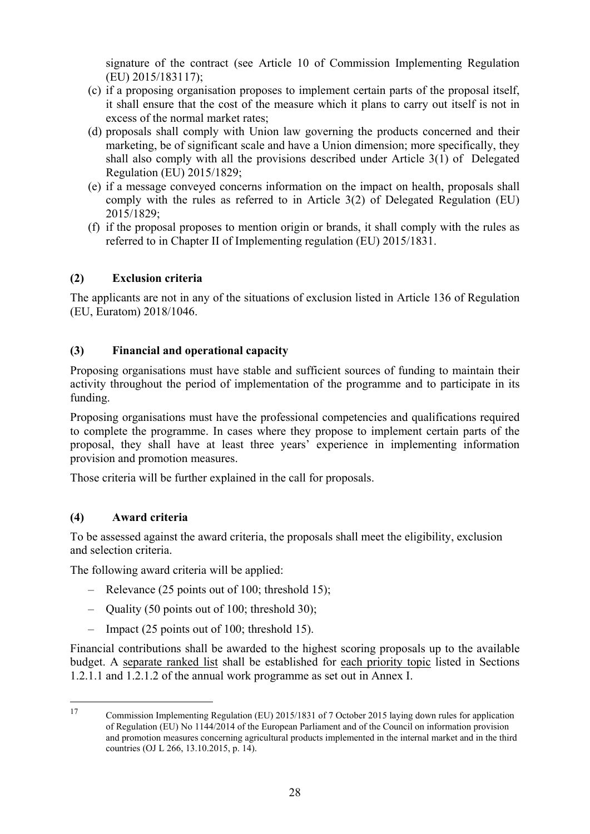signature of the contract (see Article 10 of Commission Implementing Regulation (EU) 2015/1831[17\)](#page-27-0);

- (c) if a proposing organisation proposes to implement certain parts of the proposal itself, it shall ensure that the cost of the measure which it plans to carry out itself is not in excess of the normal market rates;
- (d) proposals shall comply with Union law governing the products concerned and their marketing, be of significant scale and have a Union dimension; more specifically, they shall also comply with all the provisions described under Article 3(1) of Delegated Regulation (EU) 2015/1829;
- (e) if a message conveyed concerns information on the impact on health, proposals shall comply with the rules as referred to in Article 3(2) of Delegated Regulation (EU) 2015/1829;
- (f) if the proposal proposes to mention origin or brands, it shall comply with the rules as referred to in Chapter II of Implementing regulation (EU) 2015/1831.

# **(2) Exclusion criteria**

The applicants are not in any of the situations of exclusion listed in Article 136 of Regulation (EU, Euratom) 2018/1046.

# **(3) Financial and operational capacity**

Proposing organisations must have stable and sufficient sources of funding to maintain their activity throughout the period of implementation of the programme and to participate in its funding.

Proposing organisations must have the professional competencies and qualifications required to complete the programme. In cases where they propose to implement certain parts of the proposal, they shall have at least three years' experience in implementing information provision and promotion measures.

Those criteria will be further explained in the call for proposals.

# **(4) Award criteria**

To be assessed against the award criteria, the proposals shall meet the eligibility, exclusion and selection criteria.

The following award criteria will be applied:

- Relevance (25 points out of 100; threshold 15);
- Quality (50 points out of 100; threshold 30);
- Impact (25 points out of 100; threshold 15).

Financial contributions shall be awarded to the highest scoring proposals up to the available budget. A separate ranked list shall be established for each priority topic listed in Sections 1.2.1.1 and 1.2.1.2 of the annual work programme as set out in Annex I.

<span id="page-27-0"></span> <sup>17</sup> Commission Implementing Regulation (EU) 2015/1831 of 7 October 2015 laying down rules for application of Regulation (EU) No 1144/2014 of the European Parliament and of the Council on information provision and promotion measures concerning agricultural products implemented in the internal market and in the third countries (OJ L 266, 13.10.2015, p. 14).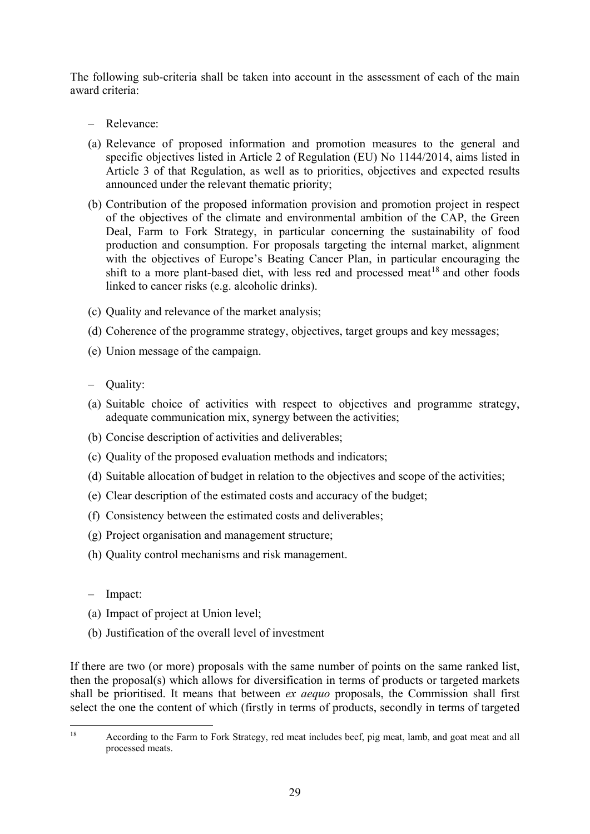The following sub-criteria shall be taken into account in the assessment of each of the main award criteria:

- Relevance:
- (a) Relevance of proposed information and promotion measures to the general and specific objectives listed in Article 2 of Regulation (EU) No 1144/2014, aims listed in Article 3 of that Regulation, as well as to priorities, objectives and expected results announced under the relevant thematic priority;
- (b) Contribution of the proposed information provision and promotion project in respect of the objectives of the climate and environmental ambition of the CAP, the Green Deal, Farm to Fork Strategy, in particular concerning the sustainability of food production and consumption. For proposals targeting the internal market, alignment with the objectives of Europe's Beating Cancer Plan, in particular encouraging the shift to a more plant-based diet, with less red and processed meat<sup>[18](#page-28-0)</sup> and other foods linked to cancer risks (e.g. alcoholic drinks).
- (c) Quality and relevance of the market analysis;
- (d) Coherence of the programme strategy, objectives, target groups and key messages;
- (e) Union message of the campaign.
- Quality:
- (a) Suitable choice of activities with respect to objectives and programme strategy, adequate communication mix, synergy between the activities;
- (b) Concise description of activities and deliverables;
- (c) Quality of the proposed evaluation methods and indicators;
- (d) Suitable allocation of budget in relation to the objectives and scope of the activities;
- (e) Clear description of the estimated costs and accuracy of the budget;
- (f) Consistency between the estimated costs and deliverables;
- (g) Project organisation and management structure;
- (h) Quality control mechanisms and risk management.
- Impact:
- (a) Impact of project at Union level;
- (b) Justification of the overall level of investment

If there are two (or more) proposals with the same number of points on the same ranked list, then the proposal(s) which allows for diversification in terms of products or targeted markets shall be prioritised. It means that between *ex aequo* proposals, the Commission shall first select the one the content of which (firstly in terms of products, secondly in terms of targeted

<span id="page-28-0"></span> <sup>18</sup> According to the Farm to Fork Strategy, red meat includes beef, pig meat, lamb, and goat meat and all processed meats.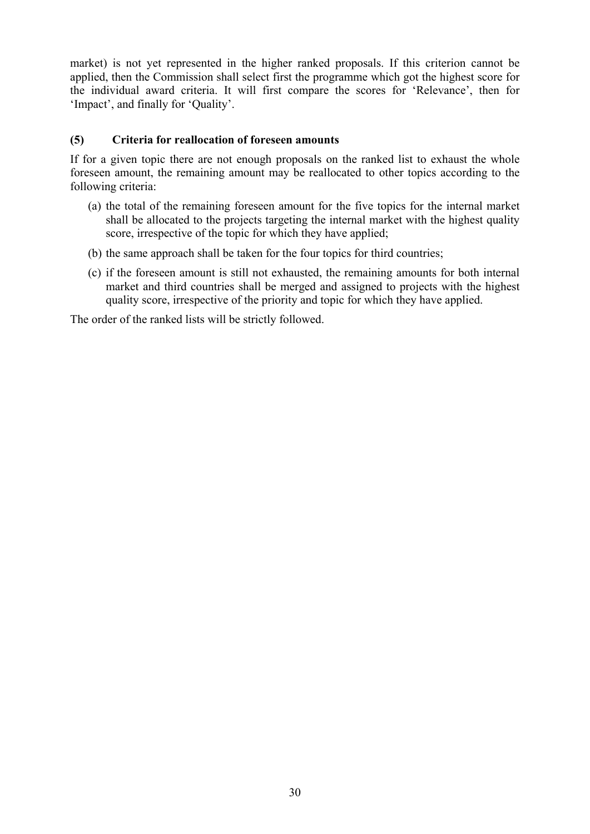market) is not yet represented in the higher ranked proposals. If this criterion cannot be applied, then the Commission shall select first the programme which got the highest score for the individual award criteria. It will first compare the scores for 'Relevance', then for 'Impact', and finally for 'Quality'.

# **(5) Criteria for reallocation of foreseen amounts**

If for a given topic there are not enough proposals on the ranked list to exhaust the whole foreseen amount, the remaining amount may be reallocated to other topics according to the following criteria:

- (a) the total of the remaining foreseen amount for the five topics for the internal market shall be allocated to the projects targeting the internal market with the highest quality score, irrespective of the topic for which they have applied;
- (b) the same approach shall be taken for the four topics for third countries;
- (c) if the foreseen amount is still not exhausted, the remaining amounts for both internal market and third countries shall be merged and assigned to projects with the highest quality score, irrespective of the priority and topic for which they have applied.

The order of the ranked lists will be strictly followed.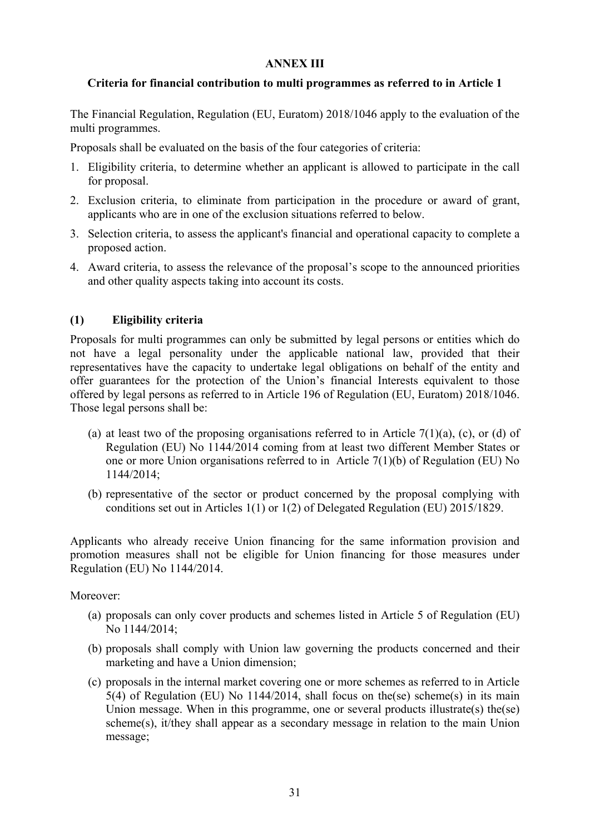## **ANNEX III**

# **Criteria for financial contribution to multi programmes as referred to in Article 1**

The Financial Regulation, Regulation (EU, Euratom) 2018/1046 apply to the evaluation of the multi programmes.

Proposals shall be evaluated on the basis of the four categories of criteria:

- 1. Eligibility criteria, to determine whether an applicant is allowed to participate in the call for proposal.
- 2. Exclusion criteria, to eliminate from participation in the procedure or award of grant, applicants who are in one of the exclusion situations referred to below.
- 3. Selection criteria, to assess the applicant's financial and operational capacity to complete a proposed action.
- 4. Award criteria, to assess the relevance of the proposal's scope to the announced priorities and other quality aspects taking into account its costs.

# **(1) Eligibility criteria**

Proposals for multi programmes can only be submitted by legal persons or entities which do not have a legal personality under the applicable national law, provided that their representatives have the capacity to undertake legal obligations on behalf of the entity and offer guarantees for the protection of the Union's financial Interests equivalent to those offered by legal persons as referred to in Article 196 of Regulation (EU, Euratom) 2018/1046. Those legal persons shall be:

- (a) at least two of the proposing organisations referred to in Article 7(1)(a), (c), or (d) of Regulation (EU) No 1144/2014 coming from at least two different Member States or one or more Union organisations referred to in Article 7(1)(b) of Regulation (EU) No 1144/2014;
- (b) representative of the sector or product concerned by the proposal complying with conditions set out in Articles 1(1) or 1(2) of Delegated Regulation (EU) 2015/1829.

Applicants who already receive Union financing for the same information provision and promotion measures shall not be eligible for Union financing for those measures under Regulation (EU) No 1144/2014.

Moreover:

- (a) proposals can only cover products and schemes listed in Article 5 of Regulation (EU) No 1144/2014;
- (b) proposals shall comply with Union law governing the products concerned and their marketing and have a Union dimension;
- (c) proposals in the internal market covering one or more schemes as referred to in Article 5(4) of Regulation (EU) No 1144/2014, shall focus on the(se) scheme(s) in its main Union message. When in this programme, one or several products illustrate(s) the(se) scheme(s), it/they shall appear as a secondary message in relation to the main Union message;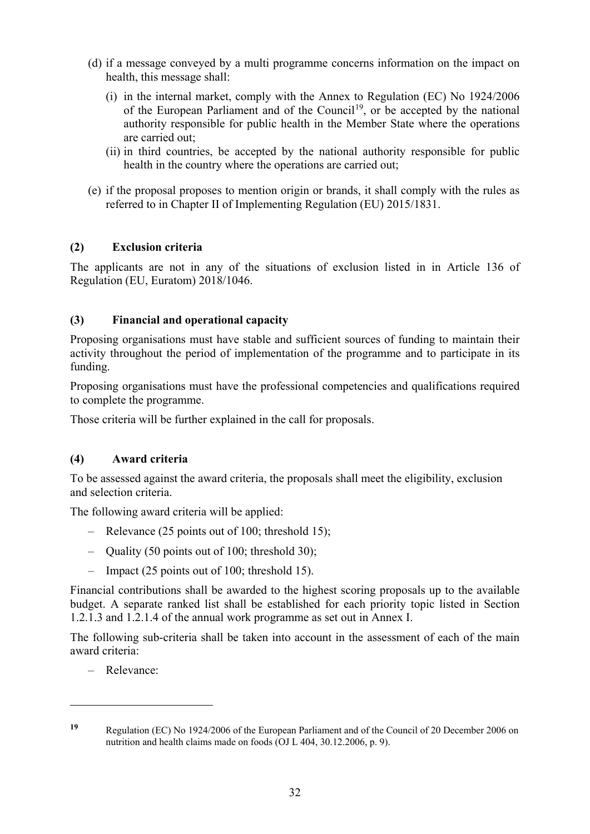- (d) if a message conveyed by a multi programme concerns information on the impact on health, this message shall:
	- (i) in the internal market, comply with the Annex to Regulation (EC) No 1924/2006 of the European Parliament and of the Council<sup>19</sup>, or be accepted by the national authority responsible for public health in the Member State where the operations are carried out;
	- (ii) in third countries, be accepted by the national authority responsible for public health in the country where the operations are carried out;
- (e) if the proposal proposes to mention origin or brands, it shall comply with the rules as referred to in Chapter II of Implementing Regulation (EU) 2015/1831.

# **(2) Exclusion criteria**

The applicants are not in any of the situations of exclusion listed in in Article 136 of Regulation (EU, Euratom) 2018/1046.

# **(3) Financial and operational capacity**

Proposing organisations must have stable and sufficient sources of funding to maintain their activity throughout the period of implementation of the programme and to participate in its funding.

Proposing organisations must have the professional competencies and qualifications required to complete the programme.

Those criteria will be further explained in the call for proposals.

# **(4) Award criteria**

To be assessed against the award criteria, the proposals shall meet the eligibility, exclusion and selection criteria.

The following award criteria will be applied:

- Relevance (25 points out of 100; threshold 15);
- Quality (50 points out of 100; threshold 30);
- Impact (25 points out of 100; threshold 15).

Financial contributions shall be awarded to the highest scoring proposals up to the available budget. A separate ranked list shall be established for each priority topic listed in Section 1.2.1.3 and 1.2.1.4 of the annual work programme as set out in Annex I.

The following sub-criteria shall be taken into account in the assessment of each of the main award criteria:

– Relevance:

<u>.</u>

<span id="page-31-0"></span>**<sup>19</sup>** Regulation (EC) No 1924/2006 of the European Parliament and of the Council of 20 December 2006 on nutrition and health claims made on foods (OJ L 404, 30.12.2006, p. 9).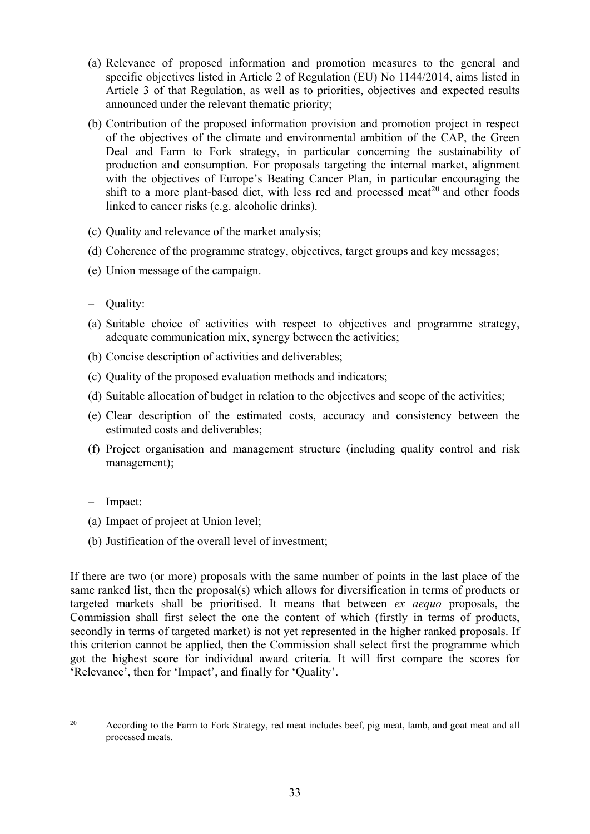- (a) Relevance of proposed information and promotion measures to the general and specific objectives listed in Article 2 of Regulation (EU) No 1144/2014, aims listed in Article 3 of that Regulation, as well as to priorities, objectives and expected results announced under the relevant thematic priority;
- (b) Contribution of the proposed information provision and promotion project in respect of the objectives of the climate and environmental ambition of the CAP, the Green Deal and Farm to Fork strategy, in particular concerning the sustainability of production and consumption. For proposals targeting the internal market, alignment with the objectives of Europe's Beating Cancer Plan, in particular encouraging the shift to a more plant-based diet, with less red and processed meat<sup>[20](#page-32-0)</sup> and other foods linked to cancer risks (e.g. alcoholic drinks).
- (c) Quality and relevance of the market analysis;
- (d) Coherence of the programme strategy, objectives, target groups and key messages;
- (e) Union message of the campaign.
- Quality:
- (a) Suitable choice of activities with respect to objectives and programme strategy, adequate communication mix, synergy between the activities;
- (b) Concise description of activities and deliverables;
- (c) Quality of the proposed evaluation methods and indicators;
- (d) Suitable allocation of budget in relation to the objectives and scope of the activities;
- (e) Clear description of the estimated costs, accuracy and consistency between the estimated costs and deliverables;
- (f) Project organisation and management structure (including quality control and risk management);
- Impact:
- (a) Impact of project at Union level;
- (b) Justification of the overall level of investment;

If there are two (or more) proposals with the same number of points in the last place of the same ranked list, then the proposal(s) which allows for diversification in terms of products or targeted markets shall be prioritised. It means that between *ex aequo* proposals, the Commission shall first select the one the content of which (firstly in terms of products, secondly in terms of targeted market) is not yet represented in the higher ranked proposals. If this criterion cannot be applied, then the Commission shall select first the programme which got the highest score for individual award criteria. It will first compare the scores for 'Relevance', then for 'Impact', and finally for 'Quality'.

<span id="page-32-0"></span><sup>&</sup>lt;sup>20</sup> According to the Farm to Fork Strategy, red meat includes beef, pig meat, lamb, and goat meat and all processed meats.